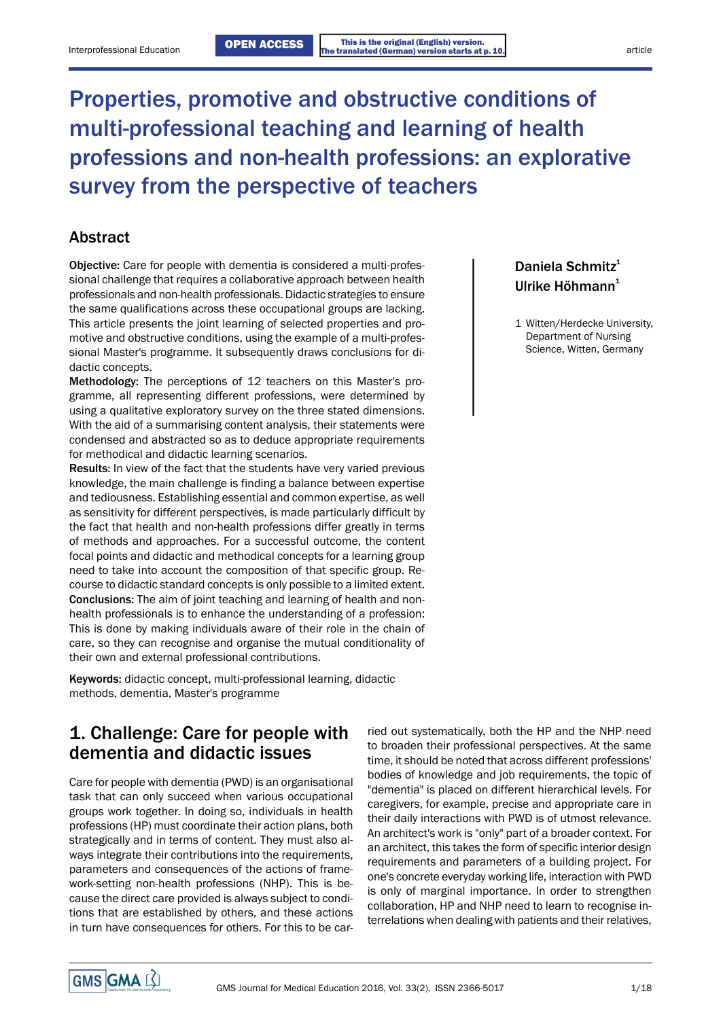# Properties, promotive and obstructive conditions of multi-professional teaching and learning of health professions and non-health professions: an explorative survey from the perspective of teachers

## Abstract

Objective: Care for people with dementia is considered a multi-professional challenge that requires a collaborative approach between health professionals and non-health professionals. Didactic strategies to ensure the same qualifications across these occupational groups are lacking. This article presents the joint learning of selected properties and pro-<br>
1 Witten/Herdecke University, motive and obstructive conditions, using the example of a multi-professional Master's programme. It subsequently draws conclusions for didactic concepts.

Methodology: The perceptions of 12 teachers on this Master's programme, all representing different professions, were determined by using a qualitative exploratory survey on the three stated dimensions. With the aid of a summarising content analysis, their statements were condensed and abstracted so as to deduce appropriate requirements for methodical and didactic learning scenarios.

Results: In view of the fact that the students have very varied previous knowledge, the main challenge is finding a balance between expertise and tediousness. Establishing essential and common expertise, as well as sensitivity for different perspectives, is made particularly difficult by the fact that health and non-health professions differ greatly in terms of methods and approaches. For a successful outcome, the content focal points and didactic and methodical concepts for a learning group need to take into account the composition of that specific group. Recourse to didactic standard concepts is only possible to a limited extent. Conclusions: The aim of joint teaching and learning of health and nonhealth professionals is to enhance the understanding of a profession: This is done by making individuals aware of their role in the chain of care, so they can recognise and organise the mutual conditionality of their own and external professional contributions.

Keywords: didactic concept, multi-professional learning, didactic methods, dementia, Master's programme

## 1. Challenge: Care for people with dementia and didactic issues

Care for people with dementia (PWD) is an organisational task that can only succeed when various occupational groups work together. In doing so, individuals in health professions (HP) must coordinate their action plans, both strategically and in terms of content. They must also always integrate their contributions into the requirements, parameters and consequences of the actions of framework-setting non-health professions (NHP). This is because the direct care provided is always subject to conditions that are established by others, and these actions in turn have consequences for others. For this to be carried out systematically, both the HP and the NHP need to broaden their professional perspectives. At the same time, it should be noted that across different professions' bodies of knowledge and job requirements, the topic of "dementia" is placed on different hierarchical levels. For caregivers, for example, precise and appropriate care in their daily interactions with PWD is of utmost relevance. An architect's work is "only" part of a broader context. For an architect, this takes the form of specific interior design requirements and parameters of a building project. For one's concrete everyday working life, interaction with PWD is only of marginal importance. In order to strengthen collaboration, HP and NHP need to learn to recognise interrelations when dealing with patients and their relatives,

Daniela Schmitz<sup>1</sup> Ulrike Höhmann<sup>1</sup>

Department of Nursing Science, Witten, Germany

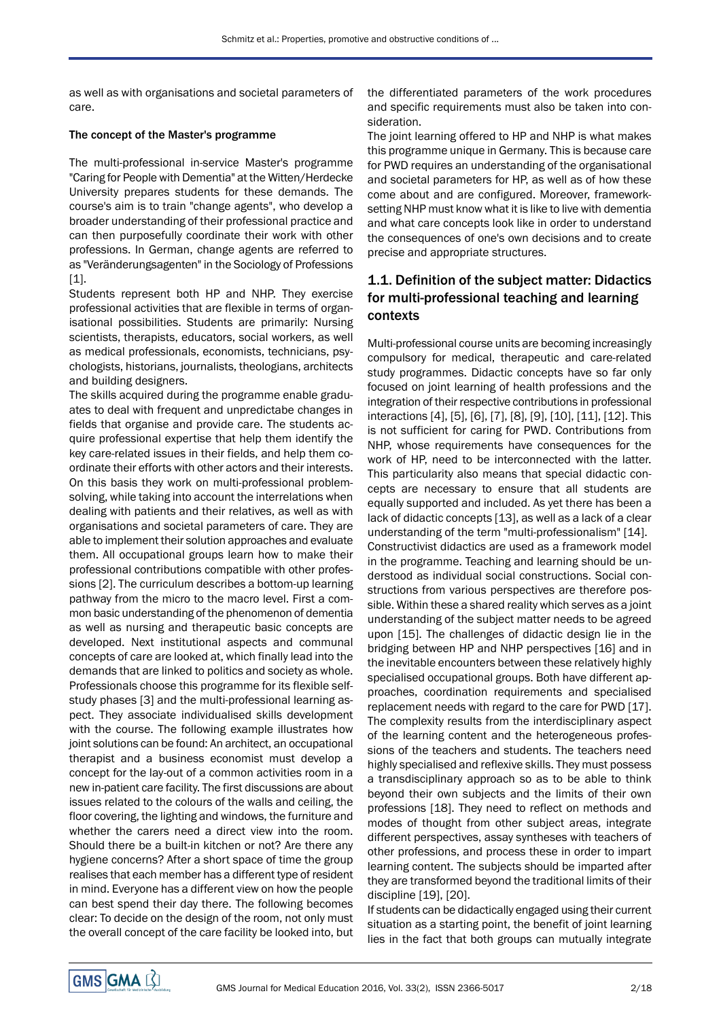as well as with organisations and societal parameters of care.

### The concept of the Master's programme

The multi-professional in-service Master's programme "Caring for People with Dementia" at the Witten/Herdecke University prepares students for these demands. The course's aim is to train "change agents", who develop a broader understanding of their professional practice and can then purposefully coordinate their work with other professions. In German, change agents are referred to as "Veränderungsagenten" in the Sociology of Professions [1].

Students represent both HP and NHP. They exercise professional activities that are flexible in terms of organisational possibilities. Students are primarily: Nursing scientists, therapists, educators, social workers, as well as medical professionals, economists, technicians, psychologists, historians, journalists, theologians, architects and building designers.

The skills acquired during the programme enable graduates to deal with frequent and unpredictabe changes in fields that organise and provide care. The students acquire professional expertise that help them identify the key care-related issues in their fields, and help them coordinate their efforts with other actors and their interests. On this basis they work on multi-professional problemsolving, while taking into account the interrelations when dealing with patients and their relatives, as well as with organisations and societal parameters of care. They are able to implement their solution approaches and evaluate them. All occupational groups learn how to make their professional contributions compatible with other professions [2]. The curriculum describes a bottom-up learning pathway from the micro to the macro level. First a common basic understanding of the phenomenon of dementia as well as nursing and therapeutic basic concepts are developed. Next institutional aspects and communal concepts of care are looked at, which finally lead into the demands that are linked to politics and society as whole. Professionals choose this programme for its flexible selfstudy phases [3] and the multi-professional learning aspect. They associate individualised skills development with the course. The following example illustrates how joint solutions can be found: An architect, an occupational therapist and a business economist must develop a concept for the lay-out of a common activities room in a new in-patient care facility. The first discussions are about issues related to the colours of the walls and ceiling, the floor covering, the lighting and windows, the furniture and whether the carers need a direct view into the room. Should there be a built-in kitchen or not? Are there any hygiene concerns? After a short space of time the group realises that each member has a different type of resident in mind. Everyone has a different view on how the people can best spend their day there. The following becomes clear: To decide on the design of the room, not only must the overall concept of the care facility be looked into, but the differentiated parameters of the work procedures and specific requirements must also be taken into consideration.

The joint learning offered to HP and NHP is what makes this programme unique in Germany. This is because care for PWD requires an understanding of the organisational and societal parameters for HP, as well as of how these come about and are configured. Moreover, frameworksetting NHP must know what it is like to live with dementia and what care concepts look like in order to understand the consequences of one's own decisions and to create precise and appropriate structures.

## 1.1. Definition of the subject matter: Didactics for multi-professional teaching and learning contexts

Multi-professional course units are becoming increasingly compulsory for medical, therapeutic and care-related study programmes. Didactic concepts have so far only focused on joint learning of health professions and the integration of their respective contributions in professional interactions [4], [5], [6], [7], [8], [9], [10], [11], [12]. This is not sufficient for caring for PWD. Contributions from NHP, whose requirements have consequences for the work of HP, need to be interconnected with the latter. This particularity also means that special didactic concepts are necessary to ensure that all students are equally supported and included. As yet there has been a lack of didactic concepts [13], as well as a lack of a clear understanding of the term "multi-professionalism" [14]. Constructivist didactics are used as a framework model in the programme. Teaching and learning should be understood as individual social constructions. Social constructions from various perspectives are therefore possible. Within these a shared reality which serves as a joint understanding of the subject matter needs to be agreed upon [15]. The challenges of didactic design lie in the bridging between HP and NHP perspectives [16] and in the inevitable encounters between these relatively highly specialised occupational groups. Both have different approaches, coordination requirements and specialised replacement needs with regard to the care for PWD [17]. The complexity results from the interdisciplinary aspect of the learning content and the heterogeneous professions of the teachers and students. The teachers need highly specialised and reflexive skills. They must possess a transdisciplinary approach so as to be able to think beyond their own subjects and the limits of their own professions [18]. They need to reflect on methods and modes of thought from other subject areas, integrate different perspectives, assay syntheses with teachers of other professions, and process these in order to impart learning content. The subjects should be imparted after they are transformed beyond the traditional limits of their discipline [19], [20].

If students can be didactically engaged using their current situation as a starting point, the benefit of joint learning lies in the fact that both groups can mutually integrate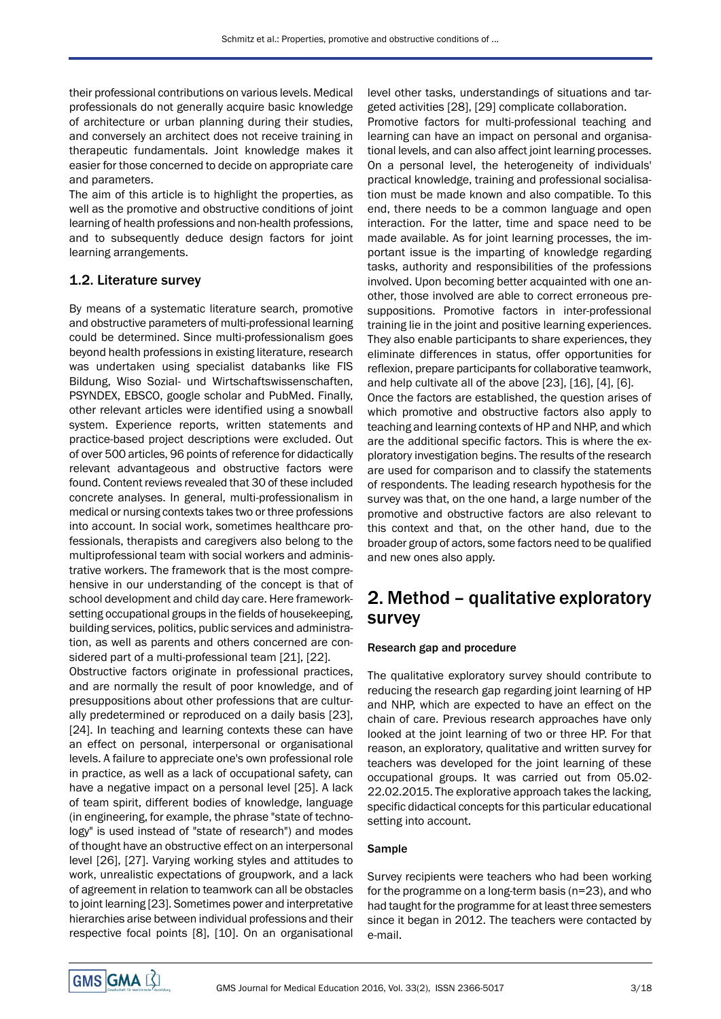their professional contributions on various levels. Medical professionals do not generally acquire basic knowledge of architecture or urban planning during their studies, and conversely an architect does not receive training in therapeutic fundamentals. Joint knowledge makes it easier for those concerned to decide on appropriate care and parameters.

The aim of this article is to highlight the properties, as well as the promotive and obstructive conditions of joint learning of health professions and non-health professions, and to subsequently deduce design factors for joint learning arrangements.

### 1.2. Literature survey

By means of a systematic literature search, promotive and obstructive parameters of multi-professional learning could be determined. Since multi-professionalism goes beyond health professions in existing literature, research was undertaken using specialist databanks like FIS Bildung, Wiso Sozial- und Wirtschaftswissenschaften, PSYNDEX, EBSCO, google scholar and PubMed. Finally, other relevant articles were identified using a snowball system. Experience reports, written statements and practice-based project descriptions were excluded. Out of over 500 articles, 96 points of reference for didactically relevant advantageous and obstructive factors were found. Content reviews revealed that 30 of these included concrete analyses. In general, multi-professionalism in medical or nursing contexts takes two or three professions into account. In social work, sometimes healthcare professionals, therapists and caregivers also belong to the multiprofessional team with social workers and administrative workers. The framework that is the most comprehensive in our understanding of the concept is that of school development and child day care. Here frameworksetting occupational groups in the fields of housekeeping, building services, politics, public services and administration, as well as parents and others concerned are considered part of a multi-professional team [21], [22].

Obstructive factors originate in professional practices, and are normally the result of poor knowledge, and of presuppositions about other professions that are culturally predetermined or reproduced on a daily basis [23], [24]. In teaching and learning contexts these can have an effect on personal, interpersonal or organisational levels. A failure to appreciate one's own professional role in practice, as well as a lack of occupational safety, can have a negative impact on a personal level [25]. A lack of team spirit, different bodies of knowledge, language (in engineering, for example, the phrase "state of technology" is used instead of "state of research") and modes of thought have an obstructive effect on an interpersonal level [26], [27]. Varying working styles and attitudes to work, unrealistic expectations of groupwork, and a lack of agreement in relation to teamwork can all be obstacles to joint learning [23]. Sometimes power and interpretative hierarchies arise between individual professions and their respective focal points [8], [10]. On an organisational level other tasks, understandings of situations and targeted activities [28], [29] complicate collaboration.

Promotive factors for multi-professional teaching and learning can have an impact on personal and organisational levels, and can also affect joint learning processes. On a personal level, the heterogeneity of individuals' practical knowledge, training and professional socialisation must be made known and also compatible. To this end, there needs to be a common language and open interaction. For the latter, time and space need to be made available. As for joint learning processes, the important issue is the imparting of knowledge regarding tasks, authority and responsibilities of the professions involved. Upon becoming better acquainted with one another, those involved are able to correct erroneous presuppositions. Promotive factors in inter-professional training lie in the joint and positive learning experiences. They also enable participants to share experiences, they eliminate differences in status, offer opportunities for reflexion, prepare participants for collaborative teamwork, and help cultivate all of the above [23], [16], [4], [6]. Once the factors are established, the question arises of which promotive and obstructive factors also apply to teaching and learning contexts of HP and NHP, and which are the additional specific factors. This is where the exploratory investigation begins. The results of the research are used for comparison and to classify the statements of respondents. The leading research hypothesis for the survey was that, on the one hand, a large number of the promotive and obstructive factors are also relevant to this context and that, on the other hand, due to the broader group of actors, some factors need to be qualified

## 2. Method – qualitative exploratory survey

### Research gap and procedure

and new ones also apply.

The qualitative exploratory survey should contribute to reducing the research gap regarding joint learning of HP and NHP, which are expected to have an effect on the chain of care. Previous research approaches have only looked at the joint learning of two or three HP. For that reason, an exploratory, qualitative and written survey for teachers was developed for the joint learning of these occupational groups. It was carried out from 05.02- 22.02.2015. The explorative approach takes the lacking, specific didactical concepts for this particular educational setting into account.

### Sample

Survey recipients were teachers who had been working for the programme on a long-term basis (n=23), and who had taught for the programme for at least three semesters since it began in 2012. The teachers were contacted by e-mail.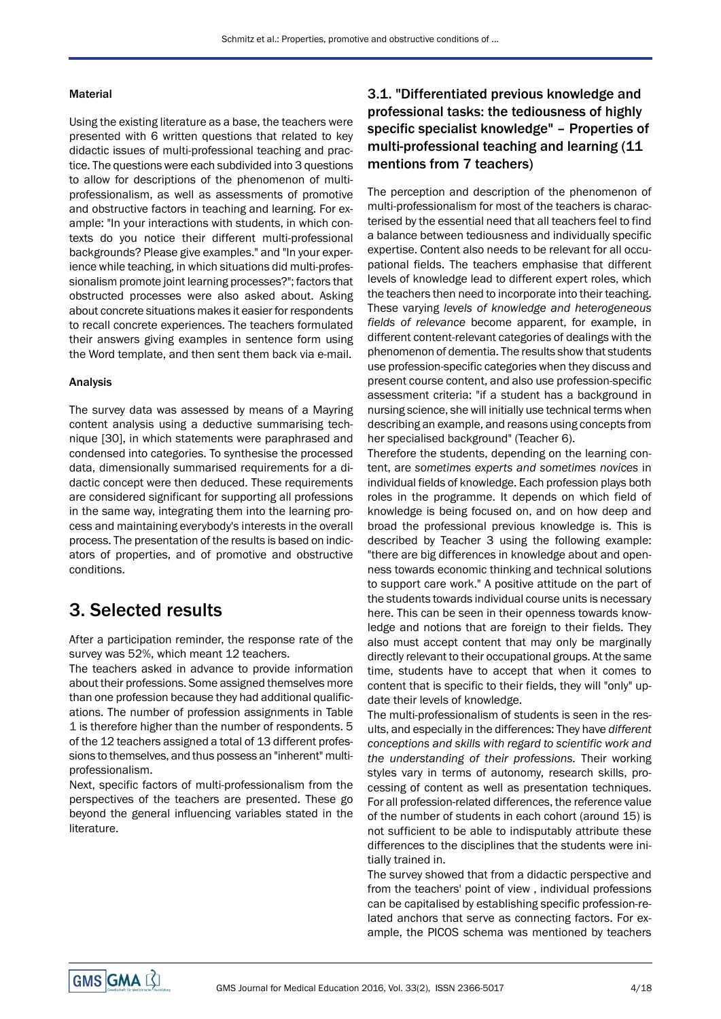### Material

Using the existing literature as a base, the teachers were presented with 6 written questions that related to key didactic issues of multi-professional teaching and practice. The questions were each subdivided into 3 questions to allow for descriptions of the phenomenon of multiprofessionalism, as well as assessments of promotive and obstructive factors in teaching and learning. For example: "In your interactions with students, in which contexts do you notice their different multi-professional backgrounds? Please give examples." and "In your experience while teaching, in which situations did multi-professionalism promote joint learning processes?"; factors that obstructed processes were also asked about. Asking about concrete situations makes it easier for respondents to recall concrete experiences. The teachers formulated their answers giving examples in sentence form using the Word template, and then sent them back via e-mail.

### Analysis

The survey data was assessed by means of a Mayring content analysis using a deductive summarising technique [30], in which statements were paraphrased and condensed into categories. To synthesise the processed data, dimensionally summarised requirements for a didactic concept were then deduced. These requirements are considered significant for supporting all professions in the same way, integrating them into the learning process and maintaining everybody's interests in the overall process. The presentation of the results is based on indicators of properties, and of promotive and obstructive conditions.

# 3. Selected results

After a participation reminder, the response rate of the survey was 52%, which meant 12 teachers.

The teachers asked in advance to provide information about their professions. Some assigned themselves more than one profession because they had additional qualifications. The number of profession assignments in Table 1 is therefore higher than the number of respondents. 5 of the 12 teachers assigned a total of 13 different professions to themselves, and thus possess an "inherent" multiprofessionalism.

Next, specific factors of multi-professionalism from the perspectives of the teachers are presented. These go beyond the general influencing variables stated in the literature.

## 3.1. "Differentiated previous knowledge and professional tasks: the tediousness of highly specific specialist knowledge" – Properties of multi-professional teaching and learning (11 mentions from 7 teachers)

The perception and description of the phenomenon of multi-professionalism for most of the teachers is characterised by the essential need that all teachers feel to find a balance between tediousness and individually specific expertise. Content also needs to be relevant for all occupational fields. The teachers emphasise that different levels of knowledge lead to different expert roles, which the teachers then need to incorporate into their teaching. These varying *levels of knowledge and heterogeneous fields of relevance* become apparent, for example, in different content-relevant categories of dealings with the phenomenon of dementia. The results show that students use profession-specific categories when they discuss and present course content, and also use profession-specific assessment criteria: "if a student has a background in nursing science, she will initially use technical terms when describing an example, and reasons using concepts from her specialised background" (Teacher 6).

Therefore the students, depending on the learning content, are *sometimes experts and sometimes novices* in individual fields of knowledge. Each profession plays both roles in the programme. It depends on which field of knowledge is being focused on, and on how deep and broad the professional previous knowledge is. This is described by Teacher 3 using the following example: "there are big differences in knowledge about and openness towards economic thinking and technical solutions to support care work." A positive attitude on the part of the students towards individual course units is necessary here. This can be seen in their openness towards knowledge and notions that are foreign to their fields. They also must accept content that may only be marginally directly relevant to their occupational groups. At the same time, students have to accept that when it comes to content that is specific to their fields, they will "only" update their levels of knowledge.

The multi-professionalism of students is seen in the results, and especially in the differences: They have *different conceptions and skills with regard to scientific work and the understanding of their professions.* Their working styles vary in terms of autonomy, research skills, processing of content as well as presentation techniques. For all profession-related differences, the reference value of the number of students in each cohort (around 15) is not sufficient to be able to indisputably attribute these differences to the disciplines that the students were initially trained in.

The survey showed that from a didactic perspective and from the teachers' point of view , individual professions can be capitalised by establishing specific profession-related anchors that serve as connecting factors. For example, the PICOS schema was mentioned by teachers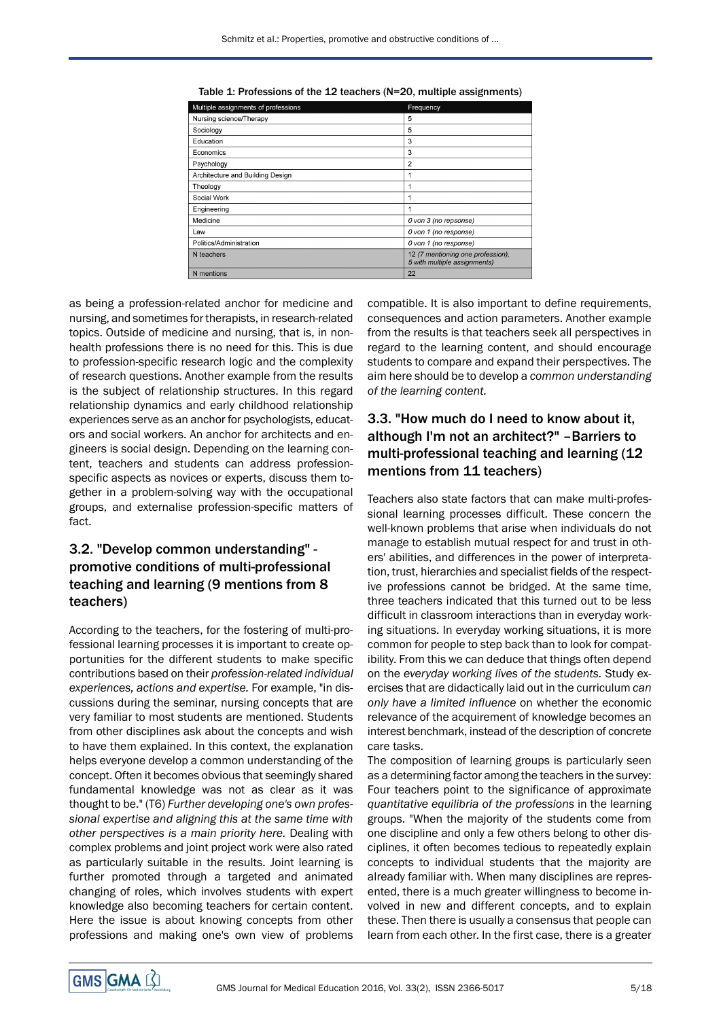| Multiple assignments of professions | Frequency                                                         |
|-------------------------------------|-------------------------------------------------------------------|
| Nursing science/Therapy             | 5                                                                 |
| Sociology                           | 5                                                                 |
| Education                           | 3                                                                 |
| Economics                           | 3                                                                 |
| Psychology                          | $\overline{2}$                                                    |
| Architecture and Building Design    | 1                                                                 |
| Theology                            | 1                                                                 |
| Social Work                         | 1                                                                 |
| Engineering                         | 1                                                                 |
| Medicine                            | 0 von 3 (no repsonse)                                             |
| Law                                 | 0 von 1 (no response)                                             |
| Politics/Administration             | 0 von 1 (no response)                                             |
| N teachers                          | 12 (7 mentioning one profession).<br>5 with multiple assignments) |
| N mentions                          | 22                                                                |

Table 1: Professions of the 12 teachers (N=20, multiple assignments)

as being a profession-related anchor for medicine and nursing, and sometimes for therapists, in research-related topics. Outside of medicine and nursing, that is, in nonhealth professions there is no need for this. This is due to profession-specific research logic and the complexity of research questions. Another example from the results is the subject of relationship structures. In this regard relationship dynamics and early childhood relationship experiences serve as an anchor for psychologists, educators and social workers. An anchor for architects and engineers is social design. Depending on the learning content, teachers and students can address professionspecific aspects as novices or experts, discuss them together in a problem-solving way with the occupational groups, and externalise profession-specific matters of fact.

### 3.2. "Develop common understanding" promotive conditions of multi-professional teaching and learning (9 mentions from 8 teachers)

According to the teachers, for the fostering of multi-professional learning processes it is important to create opportunities for the different students to make specific contributions based on their *profession-related individual experiences, actions and expertise.* For example, "in discussions during the seminar, nursing concepts that are very familiar to most students are mentioned. Students from other disciplines ask about the concepts and wish to have them explained. In this context, the explanation helps everyone develop a common understanding of the concept. Often it becomes obvious that seemingly shared fundamental knowledge was not as clear as it was thought to be." (T6) *Further developing one's own professional expertise and aligning this at the same time with other perspectives is a main priority here.* Dealing with complex problems and joint project work were also rated as particularly suitable in the results. Joint learning is further promoted through a targeted and animated changing of roles, which involves students with expert knowledge also becoming teachers for certain content. Here the issue is about knowing concepts from other professions and making one's own view of problems

compatible. It is also important to define requirements, consequences and action parameters. Another example from the results is that teachers seek all perspectives in regard to the learning content, and should encourage students to compare and expand their perspectives. The aim here should be to develop a *common understanding of the learning content.*

### 3.3. "How much do I need to know about it, although I'm not an architect?" –Barriers to multi-professional teaching and learning (12 mentions from 11 teachers)

Teachers also state factors that can make multi-professional learning processes difficult. These concern the well-known problems that arise when individuals do not manage to establish mutual respect for and trust in others' abilities, and differences in the power of interpretation, trust, hierarchies and specialist fields of the respective professions cannot be bridged. At the same time, three teachers indicated that this turned out to be less difficult in classroom interactions than in everyday working situations. In everyday working situations, it is more common for people to step back than to look for compatibility. From this we can deduce that things often depend on the *everyday working lives of the students.* Study exercises that are didactically laid out in the curriculum *can only have a limited influence* on whether the economic relevance of the acquirement of knowledge becomes an interest benchmark, instead of the description of concrete care tasks.

The composition of learning groups is particularly seen as a determining factor among the teachers in the survey: Four teachers point to the significance of approximate *quantitative equilibria of the professions* in the learning groups. "When the majority of the students come from one discipline and only a few others belong to other disciplines, it often becomes tedious to repeatedly explain concepts to individual students that the majority are already familiar with. When many disciplines are represented, there is a much greater willingness to become involved in new and different concepts, and to explain these. Then there is usually a consensus that people can learn from each other. In the first case, there is a greater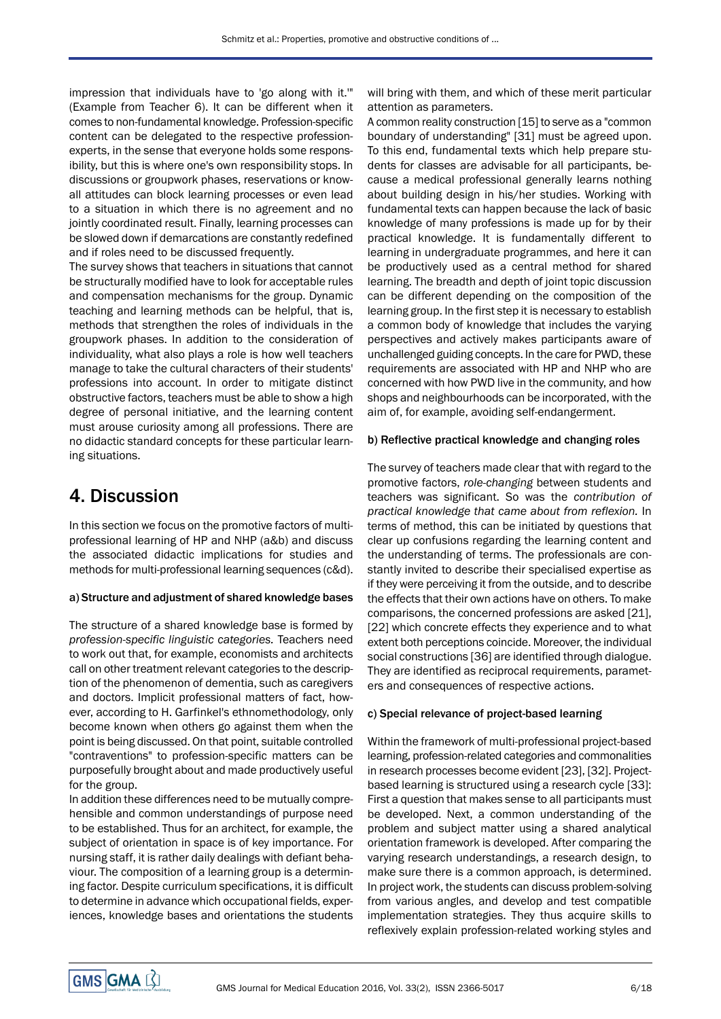impression that individuals have to 'go along with it.'" (Example from Teacher 6). It can be different when it comes to non-fundamental knowledge. Profession-specific content can be delegated to the respective professionexperts, in the sense that everyone holds some responsibility, but this is where one's own responsibility stops. In discussions or groupwork phases, reservations or knowall attitudes can block learning processes or even lead to a situation in which there is no agreement and no jointly coordinated result. Finally, learning processes can be slowed down if demarcations are constantly redefined and if roles need to be discussed frequently.

The survey shows that teachers in situations that cannot be structurally modified have to look for acceptable rules and compensation mechanisms for the group. Dynamic teaching and learning methods can be helpful, that is, methods that strengthen the roles of individuals in the groupwork phases. In addition to the consideration of individuality, what also plays a role is how well teachers manage to take the cultural characters of their students' professions into account. In order to mitigate distinct obstructive factors, teachers must be able to show a high degree of personal initiative, and the learning content must arouse curiosity among all professions. There are no didactic standard concepts for these particular learning situations.

## 4. Discussion

In this section we focus on the promotive factors of multiprofessional learning of HP and NHP (a&b) and discuss the associated didactic implications for studies and methods for multi-professional learning sequences (c&d).

#### a) Structure and adjustment of shared knowledge bases

The structure of a shared knowledge base is formed by *profession-specific linguistic categories.* Teachers need to work out that, for example, economists and architects call on other treatment relevant categories to the description of the phenomenon of dementia, such as caregivers and doctors. Implicit professional matters of fact, however, according to H. Garfinkel's ethnomethodology, only become known when others go against them when the point is being discussed. On that point, suitable controlled "contraventions" to profession-specific matters can be purposefully brought about and made productively useful for the group.

In addition these differences need to be mutually comprehensible and common understandings of purpose need to be established. Thus for an architect, for example, the subject of orientation in space is of key importance. For nursing staff, it is rather daily dealings with defiant behaviour. The composition of a learning group is a determining factor. Despite curriculum specifications, it is difficult to determine in advance which occupational fields, experiences, knowledge bases and orientations the students

will bring with them, and which of these merit particular attention as parameters.

A common reality construction [15] to serve as a "common boundary of understanding" [31] must be agreed upon. To this end, fundamental texts which help prepare students for classes are advisable for all participants, because a medical professional generally learns nothing about building design in his/her studies. Working with fundamental texts can happen because the lack of basic knowledge of many professions is made up for by their practical knowledge. It is fundamentally different to learning in undergraduate programmes, and here it can be productively used as a central method for shared learning. The breadth and depth of joint topic discussion can be different depending on the composition of the learning group. In the first step it is necessary to establish a common body of knowledge that includes the varying perspectives and actively makes participants aware of unchallenged guiding concepts. In the care for PWD, these requirements are associated with HP and NHP who are concerned with how PWD live in the community, and how shops and neighbourhoods can be incorporated, with the aim of, for example, avoiding self-endangerment.

### b) Reflective practical knowledge and changing roles

The survey of teachers made clear that with regard to the promotive factors, *role-changing* between students and teachers was significant. So was the *contribution of practical knowledge that came about from reflexion.* In terms of method, this can be initiated by questions that clear up confusions regarding the learning content and the understanding of terms. The professionals are constantly invited to describe their specialised expertise as if they were perceiving it from the outside, and to describe the effects that their own actions have on others. To make comparisons, the concerned professions are asked [21], [22] which concrete effects they experience and to what extent both perceptions coincide. Moreover, the individual social constructions [36] are identified through dialogue. They are identified as reciprocal requirements, parameters and consequences of respective actions.

#### c) Special relevance of project-based learning

Within the framework of multi-professional project-based learning, profession-related categories and commonalities in research processes become evident [23], [32]. Projectbased learning is structured using a research cycle [33]: First a question that makes sense to all participants must be developed. Next, a common understanding of the problem and subject matter using a shared analytical orientation framework is developed. After comparing the varying research understandings, a research design, to make sure there is a common approach, is determined. In project work, the students can discuss problem-solving from various angles, and develop and test compatible implementation strategies. They thus acquire skills to reflexively explain profession-related working styles and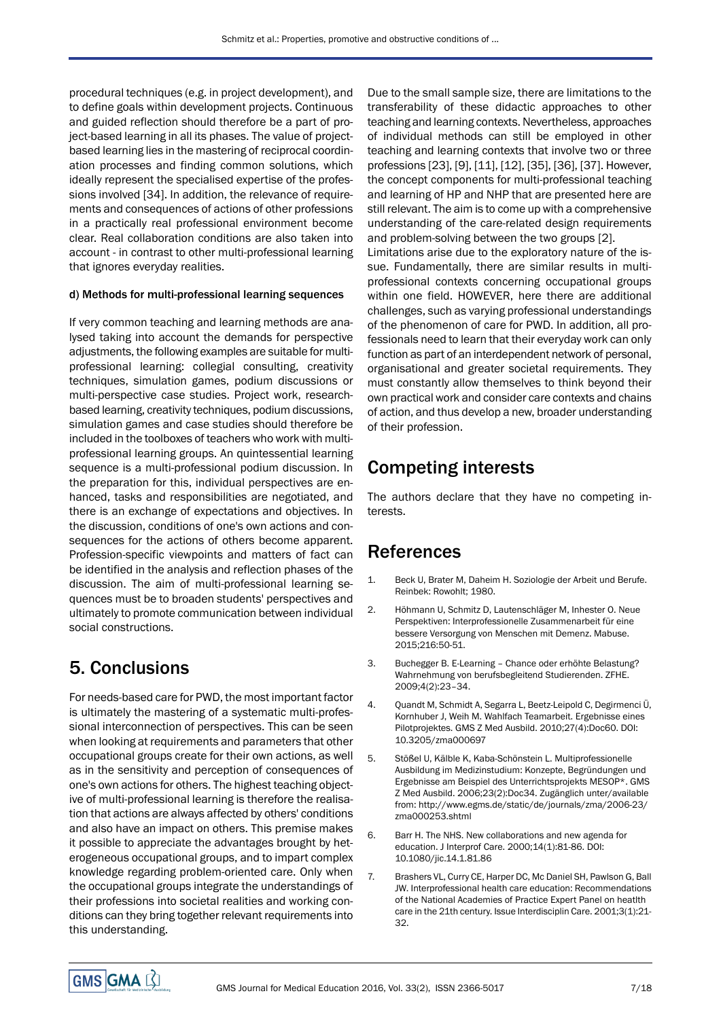procedural techniques (e.g. in project development), and to define goals within development projects. Continuous and guided reflection should therefore be a part of project-based learning in all its phases. The value of projectbased learning lies in the mastering of reciprocal coordination processes and finding common solutions, which ideally represent the specialised expertise of the professions involved [34]. In addition, the relevance of requirements and consequences of actions of other professions in a practically real professional environment become clear. Real collaboration conditions are also taken into account - in contrast to other multi-professional learning that ignores everyday realities.

### d) Methods for multi-professional learning sequences

If very common teaching and learning methods are analysed taking into account the demands for perspective adjustments, the following examples are suitable for multiprofessional learning: collegial consulting, creativity techniques, simulation games, podium discussions or multi-perspective case studies. Project work, researchbased learning, creativity techniques, podium discussions, simulation games and case studies should therefore be included in the toolboxes of teachers who work with multiprofessional learning groups. An quintessential learning sequence is a multi-professional podium discussion. In the preparation for this, individual perspectives are enhanced, tasks and responsibilities are negotiated, and there is an exchange of expectations and objectives. In the discussion, conditions of one's own actions and consequences for the actions of others become apparent. Profession-specific viewpoints and matters of fact can be identified in the analysis and reflection phases of the discussion. The aim of multi-professional learning sequences must be to broaden students' perspectives and ultimately to promote communication between individual social constructions.

# 5. Conclusions

For needs-based care for PWD, the most important factor is ultimately the mastering of a systematic multi-professional interconnection of perspectives. This can be seen when looking at requirements and parameters that other occupational groups create for their own actions, as well as in the sensitivity and perception of consequences of one's own actions for others. The highest teaching objective of multi-professional learning is therefore the realisation that actions are always affected by others' conditions and also have an impact on others. This premise makes it possible to appreciate the advantages brought by heterogeneous occupational groups, and to impart complex knowledge regarding problem-oriented care. Only when the occupational groups integrate the understandings of their professions into societal realities and working conditions can they bring together relevant requirements into this understanding.

Due to the small sample size, there are limitations to the transferability of these didactic approaches to other teaching and learning contexts. Nevertheless, approaches of individual methods can still be employed in other teaching and learning contexts that involve two or three professions [23], [9], [11], [12], [35], [36], [37]. However, the concept components for multi-professional teaching and learning of HP and NHP that are presented here are still relevant. The aim is to come up with a comprehensive understanding of the care-related design requirements and problem-solving between the two groups [2].

Limitations arise due to the exploratory nature of the issue. Fundamentally, there are similar results in multiprofessional contexts concerning occupational groups within one field. HOWEVER, here there are additional challenges, such as varying professional understandings of the phenomenon of care for PWD. In addition, all professionals need to learn that their everyday work can only function as part of an interdependent network of personal, organisational and greater societal requirements. They must constantly allow themselves to think beyond their own practical work and consider care contexts and chains of action, and thus develop a new, broader understanding of their profession.

# Competing interests

The authors declare that they have no competing interests.

# References

- 1. Beck U, Brater M, Daheim H. Soziologie der Arbeit und Berufe. Reinbek: Rowohlt; 1980.
- 2. Höhmann U, Schmitz D, Lautenschläger M, Inhester O. Neue Perspektiven: Interprofessionelle Zusammenarbeit für eine bessere Versorgung von Menschen mit Demenz. Mabuse. 2015;216:50-51.
- 3. Buchegger B. E-Learning Chance oder erhöhte Belastung? Wahrnehmung von berufsbegleitend Studierenden. ZFHE. 2009;4(2):23–34.
- 4. Quandt M, Schmidt A, Segarra L, Beetz-Leipold C, Degirmenci Ü, Kornhuber J, Weih M. Wahlfach Teamarbeit. Ergebnisse eines Pilotprojektes. GMS Z Med Ausbild. 2010;27(4):Doc60. DOI: 10.3205/zma000697
- 5. Stößel U, Kälble K, Kaba-Schönstein L. Multiprofessionelle Ausbildung im Medizinstudium: Konzepte, Begründungen und Ergebnisse am Beispiel des Unterrichtsprojekts MESOP\*. GMS Z Med Ausbild. 2006;23(2):Doc34. Zugänglich unter/available from: [http://www.egms.de/static/de/journals/zma/2006-23/](http://www.egms.de/static/de/journals/zma/2006-23/zma000253.shtml) [zma000253.shtml](http://www.egms.de/static/de/journals/zma/2006-23/zma000253.shtml)
- 6. Barr H. The NHS. New collaborations and new agenda for education. J Interprof Care. 2000;14(1):81-86. DOI: 10.1080/jic.14.1.81.86
- 7. Brashers VL, Curry CE, Harper DC, Mc Daniel SH, Pawlson G, Ball JW. Interprofessional health care education: Recommendations of the National Academies of Practice Expert Panel on heatlth care in the 21th century. Issue Interdisciplin Care. 2001;3(1):21- 32.

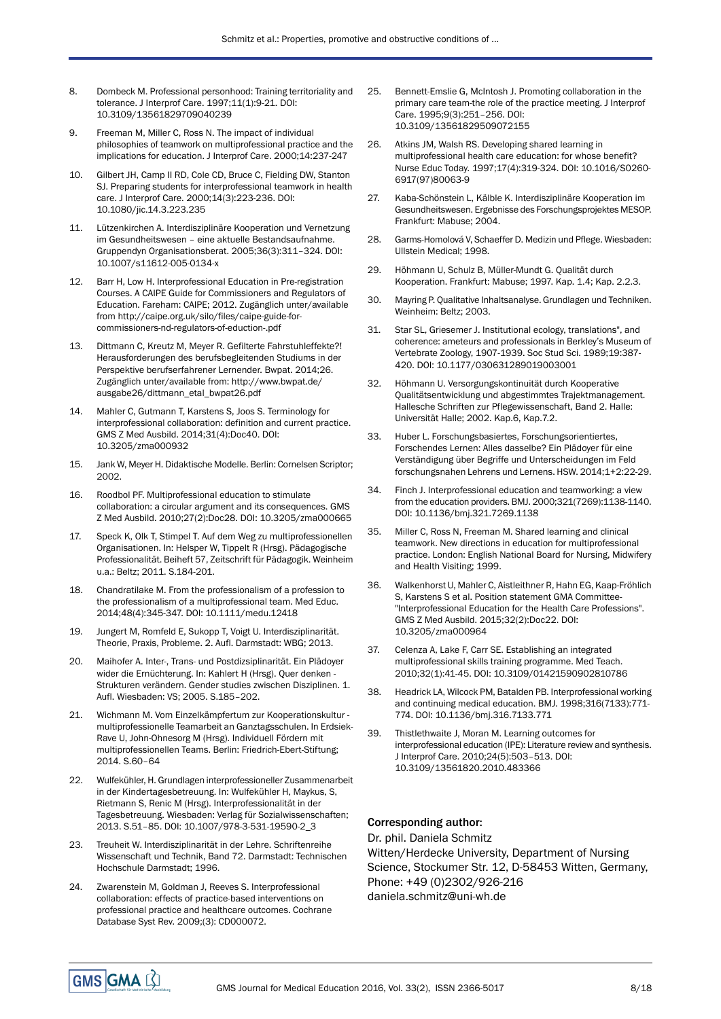- 8. Dombeck M. Professional personhood: Training territoriality and tolerance. J Interprof Care. 1997;11(1):9-21. DOI: 10.3109/13561829709040239
- 9. Freeman M, Miller C, Ross N. The impact of individual philosophies of teamwork on multiprofessional practice and the implications for education. J Interprof Care. 2000;14:237-247
- 10. Gilbert JH, Camp II RD, Cole CD, Bruce C, Fielding DW, Stanton SJ. Preparing students for interprofessional teamwork in health care. J Interprof Care. 2000;14(3):223-236. DOI: 10.1080/jic.14.3.223.235
- 11. Lützenkirchen A. Interdisziplinäre Kooperation und Vernetzung im Gesundheitswesen – eine aktuelle Bestandsaufnahme. Gruppendyn Organisationsberat. 2005;36(3):311–324. DOI: 10.1007/s11612-005-0134-x
- 12. Barr H, Low H. Interprofessional Education in Pre-registration Courses. A CAIPE Guide for Commissioners and Regulators of Education. Fareham: CAIPE; 2012. Zugänglich unter/available from [http://caipe.org.uk/silo/files/caipe-guide-for](http://caipe.org.uk/silo/files/caipe-guide-for-commissioners-nd-regulators-of-eduction-.pdf)[commissioners-nd-regulators-of-eduction-.pdf](http://caipe.org.uk/silo/files/caipe-guide-for-commissioners-nd-regulators-of-eduction-.pdf)
- 13. Dittmann C, Kreutz M, Meyer R. Gefilterte Fahrstuhleffekte?! Herausforderungen des berufsbegleitenden Studiums in der Perspektive berufserfahrener Lernender. Bwpat. 2014;26. Zugänglich unter/available from: [http://www.bwpat.de/](http://www.bwpat.de/ausgabe26/dittmann_etal_bwpat26.pdf) [ausgabe26/dittmann\\_etal\\_bwpat26.pdf](http://www.bwpat.de/ausgabe26/dittmann_etal_bwpat26.pdf)
- 14. Mahler C, Gutmann T, Karstens S, Joos S. Terminology for interprofessional collaboration: definition and current practice. GMS Z Med Ausbild. 2014;31(4):Doc40. DOI: 10.3205/zma000932
- 15. Jank W, Meyer H. Didaktische Modelle. Berlin: Cornelsen Scriptor; 2002.
- 16. Roodbol PF. Multiprofessional education to stimulate collaboration: a circular argument and its consequences. GMS Z Med Ausbild. 2010;27(2):Doc28. DOI: 10.3205/zma000665
- 17. Speck K, Olk T, Stimpel T. Auf dem Weg zu multiprofessionellen Organisationen. In: Helsper W, Tippelt R (Hrsg). Pädagogische Professionalität. Beiheft 57, Zeitschrift für Pädagogik. Weinheim u.a.: Beltz; 2011. S.184-201.
- 18. Chandratilake M. From the professionalism of a profession to the professionalism of a multiprofessional team. Med Educ. 2014;48(4):345-347. DOI: 10.1111/medu.12418
- 19. Jungert M, Romfeld E, Sukopp T, Voigt U. Interdisziplinarität. Theorie, Praxis, Probleme. 2. Aufl. Darmstadt: WBG; 2013.
- 20. Maihofer A. Inter-, Trans- und Postdizsiplinarität. Ein Plädoyer wider die Ernüchterung. In: Kahlert H (Hrsg). Quer denken - Strukturen verändern. Gender studies zwischen Disziplinen. 1. Aufl. Wiesbaden: VS; 2005. S.185–202.
- 21. Wichmann M. Vom Einzelkämpfertum zur Kooperationskultur multiprofessionelle Teamarbeit an Ganztagsschulen. In Erdsiek-Rave U, John-Ohnesorg M (Hrsg). Individuell Fördern mit multiprofessionellen Teams. Berlin: Friedrich-Ebert-Stiftung; 2014. S.60–64
- 22. Wulfekühler, H. Grundlagen interprofessioneller Zusammenarbeit in der Kindertagesbetreuung. In: Wulfekühler H, Maykus, S, Rietmann S, Renic M (Hrsg). Interprofessionalität in der Tagesbetreuung. Wiesbaden: Verlag für Sozialwissenschaften; 2013. S.51–85. DOI: 10.1007/978-3-531-19590-2\_3
- 23. Treuheit W. Interdisziplinarität in der Lehre. Schriftenreihe Wissenschaft und Technik, Band 72. Darmstadt: Technischen Hochschule Darmstadt; 1996.
- 24. Zwarenstein M, Goldman J, Reeves S. Interprofessional collaboration: effects of practice-based interventions on professional practice and healthcare outcomes. Cochrane Database Syst Rev. 2009;(3): CD000072.
- 25. Bennett-Emslie G, McIntosh J. Promoting collaboration in the primary care team-the role of the practice meeting. J Interprof Care. 1995;9(3):251–256. DOI: 10.3109/13561829509072155
- 26. Atkins JM, Walsh RS. Developing shared learning in multiprofessional health care education: for whose benefit? Nurse Educ Today. 1997;17(4):319-324. DOI: 10.1016/S0260- 6917(97)80063-9
- 27. Kaba-Schönstein L, Kälble K. Interdisziplinäre Kooperation im Gesundheitswesen. Ergebnisse des Forschungsprojektes MESOP. Frankfurt: Mabuse; 2004.
- 28. Garms-Homolová V, Schaeffer D. Medizin und Pflege. Wiesbaden: Ullstein Medical; 1998.
- 29. Höhmann U, Schulz B, Müller-Mundt G. Qualität durch Kooperation. Frankfurt: Mabuse; 1997. Kap. 1.4; Kap. 2.2.3.
- 30. Mayring P. Qualitative Inhaltsanalyse. Grundlagen und Techniken. Weinheim: Beltz; 2003.
- 31. Star SL, Griesemer J. Institutional ecology, translations", and coherence: ameteurs and professionals in Berkley's Museum of Vertebrate Zoology, 1907-1939. Soc Stud Sci. 1989;19:387- 420. DOI: 10.1177/030631289019003001
- 32. Höhmann U. Versorgungskontinuität durch Kooperative Qualitätsentwicklung und abgestimmtes Trajektmanagement. Hallesche Schriften zur Pflegewissenschaft, Band 2. Halle: Universität Halle; 2002. Kap.6, Kap.7.2.
- 33. Huber L. Forschungsbasiertes, Forschungsorientiertes, Forschendes Lernen: Alles dasselbe? Ein Plädoyer für eine Verständigung über Begriffe und Unterscheidungen im Feld forschungsnahen Lehrens und Lernens. HSW. 2014;1+2:22-29.
- 34. Finch J. Interprofessional education and teamworking: a view from the education providers. BMJ. 2000;321(7269):1138-1140. DOI: 10.1136/bmj.321.7269.1138
- 35. Miller C, Ross N, Freeman M. Shared learning and clinical teamwork. New directions in education for multiprofessional practice. London: English National Board for Nursing, Midwifery and Health Visiting; 1999.
- 36. Walkenhorst U, Mahler C, Aistleithner R, Hahn EG, Kaap-Fröhlich S, Karstens S et al. Position statement GMA Committee- "Interprofessional Education for the Health Care Professions". GMS Z Med Ausbild. 2015;32(2):Doc22. DOI: 10.3205/zma000964
- 37. Celenza A, Lake F, Carr SE. Establishing an integrated multiprofessional skills training programme. Med Teach. 2010;32(1):41-45. DOI: 10.3109/01421590902810786
- 38. Headrick LA, Wilcock PM, Batalden PB. Interprofessional working and continuing medical education. BMJ. 1998;316(7133):771- 774. DOI: 10.1136/bmj.316.7133.771
- 39. Thistlethwaite J, Moran M. Learning outcomes for interprofessional education (IPE): Literature review and synthesis. J Interprof Care. 2010;24(5):503–513. DOI: 10.3109/13561820.2010.483366

### Corresponding author:

Dr. phil. Daniela Schmitz Witten/Herdecke University, Department of Nursing Science, Stockumer Str. 12, D-58453 Witten, Germany, Phone: +49 (0)2302/926-216 daniela.schmitz@uni-wh.de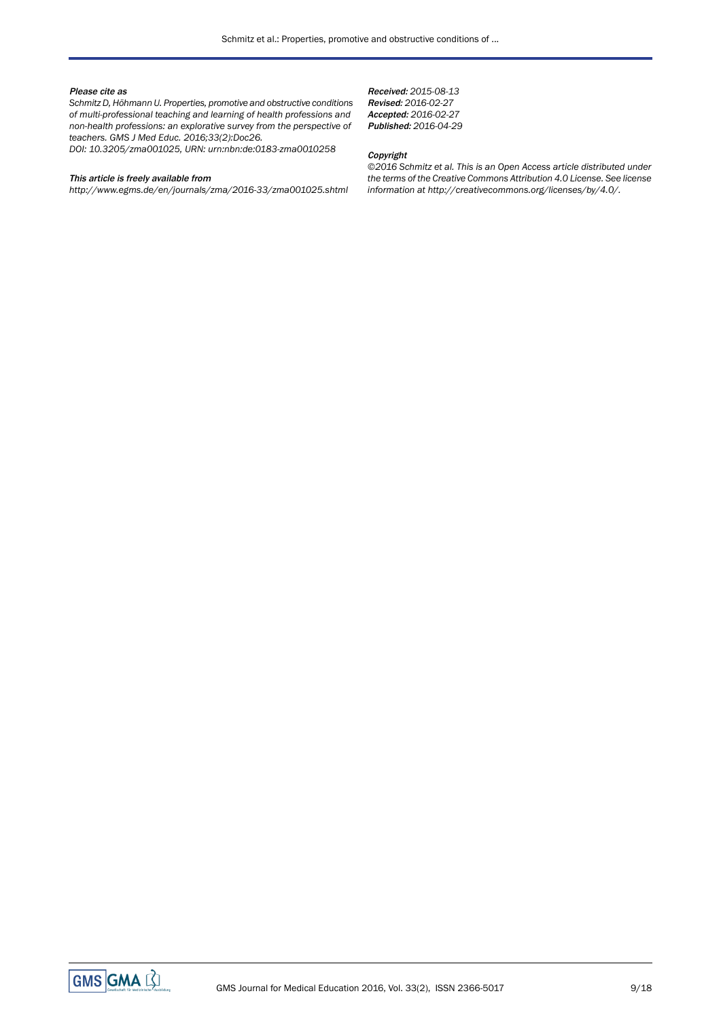#### Please cite as

*Schmitz D, Höhmann U. Properties, promotive and obstructive conditions of multi-professional teaching and learning of health professions and non-health professions: an explorative survey from the perspective of teachers. GMS J Med Educ. 2016;33(2):Doc26.*

*DOI: 10.3205/zma001025, URN: urn:nbn:de:0183-zma0010258*

#### This article is freely available from

*http://www.egms.de/en/journals/zma/2016-33/zma001025.shtml*

Received: *2015-08-13* Revised: *2016-02-27* Accepted: *2016-02-27* Published: *2016-04-29*

#### Copyright

*©2016 Schmitz et al. This is an Open Access article distributed under the terms of the Creative Commons Attribution 4.0 License. See license information at http://creativecommons.org/licenses/by/4.0/.*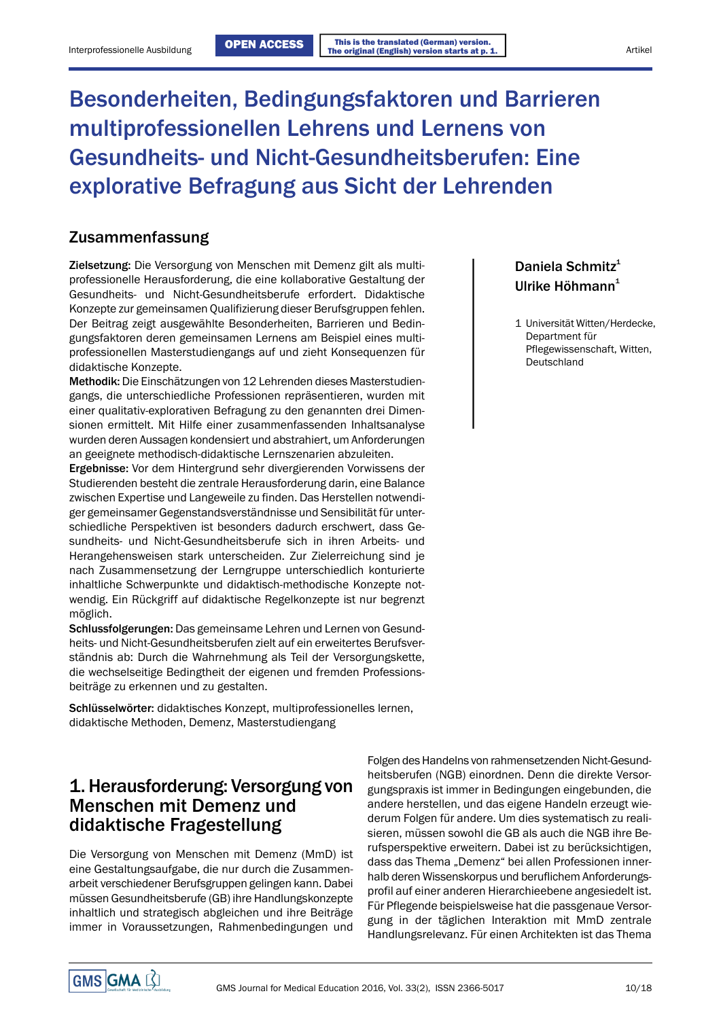# Besonderheiten, Bedingungsfaktoren und Barrieren multiprofessionellen Lehrens und Lernens von Gesundheits- und Nicht-Gesundheitsberufen: Eine explorative Befragung aus Sicht der Lehrenden

### Zusammenfassung

Zielsetzung: Die Versorgung von Menschen mit Demenz gilt als multiprofessionelle Herausforderung, die eine kollaborative Gestaltung der Gesundheits- und Nicht-Gesundheitsberufe erfordert. Didaktische Konzepte zur gemeinsamen Qualifizierung dieser Berufsgruppen fehlen. Der Beitrag zeigt ausgewählte Besonderheiten, Barrieren und Bedin-<br>
1 Universität Witten/Herdecke, gungsfaktoren deren gemeinsamen Lernens am Beispiel eines multi- Department für professionellen Masterstudiengangs auf und zieht Konsequenzen für didaktische Konzepte.

Methodik: Die Einschätzungen von 12 Lehrenden dieses Masterstudiengangs, die unterschiedliche Professionen repräsentieren, wurden mit einer qualitativ-explorativen Befragung zu den genannten drei Dimensionen ermittelt. Mit Hilfe einer zusammenfassenden Inhaltsanalyse wurden deren Aussagen kondensiert und abstrahiert, um Anforderungen an geeignete methodisch-didaktische Lernszenarien abzuleiten.

Ergebnisse: Vor dem Hintergrund sehr divergierenden Vorwissens der Studierenden besteht die zentrale Herausforderung darin, eine Balance zwischen Expertise und Langeweile zu finden. Das Herstellen notwendiger gemeinsamer Gegenstandsverständnisse und Sensibilität für unterschiedliche Perspektiven ist besonders dadurch erschwert, dass Gesundheits- und Nicht-Gesundheitsberufe sich in ihren Arbeits- und Herangehensweisen stark unterscheiden. Zur Zielerreichung sind je nach Zusammensetzung der Lerngruppe unterschiedlich konturierte inhaltliche Schwerpunkte und didaktisch-methodische Konzepte notwendig. Ein Rückgriff auf didaktische Regelkonzepte ist nur begrenzt möglich.

Schlussfolgerungen: Das gemeinsame Lehren und Lernen von Gesundheits- und Nicht-Gesundheitsberufen zielt auf ein erweitertes Berufsverständnis ab: Durch die Wahrnehmung als Teil der Versorgungskette, die wechselseitige Bedingtheit der eigenen und fremden Professionsbeiträge zu erkennen und zu gestalten.

Schlüsselwörter: didaktisches Konzept, multiprofessionelles lernen, didaktische Methoden, Demenz, Masterstudiengang

## 1. Herausforderung: Versorgung von Menschen mit Demenz und didaktische Fragestellung

Die Versorgung von Menschen mit Demenz (MmD) ist eine Gestaltungsaufgabe, die nur durch die Zusammenarbeit verschiedener Berufsgruppen gelingen kann. Dabei müssen Gesundheitsberufe (GB) ihre Handlungskonzepte inhaltlich und strategisch abgleichen und ihre Beiträge immer in Voraussetzungen, Rahmenbedingungen und

## Daniela Schmitz<sup>1</sup> Ulrike Höhmann<sup>1</sup>

Pflegewissenschaft, Witten, Deutschland

Folgen des Handelns von rahmensetzenden Nicht-Gesundheitsberufen (NGB) einordnen. Denn die direkte Versorgungspraxis ist immer in Bedingungen eingebunden, die andere herstellen, und das eigene Handeln erzeugt wiederum Folgen für andere. Um dies systematisch zu realisieren, müssen sowohl die GB als auch die NGB ihre Berufsperspektive erweitern. Dabei ist zu berücksichtigen, dass das Thema "Demenz" bei allen Professionen innerhalb deren Wissenskorpus und beruflichem Anforderungsprofil auf einer anderen Hierarchieebene angesiedelt ist. Für Pflegende beispielsweise hat die passgenaue Versorgung in der täglichen Interaktion mit MmD zentrale Handlungsrelevanz. Für einen Architekten ist das Thema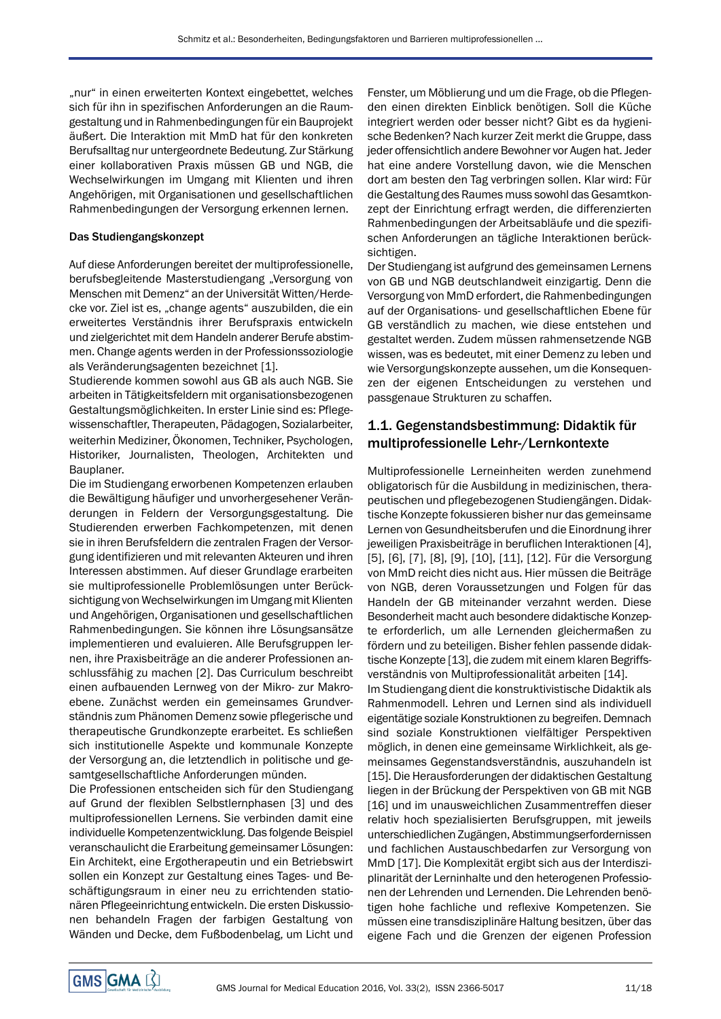"nur" in einen erweiterten Kontext eingebettet, welches sich für ihn in spezifischen Anforderungen an die Raumgestaltung und in Rahmenbedingungen für ein Bauprojekt äußert. Die Interaktion mit MmD hat für den konkreten Berufsalltag nur untergeordnete Bedeutung. Zur Stärkung einer kollaborativen Praxis müssen GB und NGB, die Wechselwirkungen im Umgang mit Klienten und ihren Angehörigen, mit Organisationen und gesellschaftlichen Rahmenbedingungen der Versorgung erkennen lernen.

#### Das Studiengangskonzept

Auf diese Anforderungen bereitet der multiprofessionelle, berufsbegleitende Masterstudiengang "Versorgung von Menschen mit Demenz" an der Universität Witten/Herdecke vor. Ziel ist es, "change agents" auszubilden, die ein erweitertes Verständnis ihrer Berufspraxis entwickeln und zielgerichtet mit dem Handeln anderer Berufe abstimmen. Change agents werden in der Professionssoziologie als Veränderungsagenten bezeichnet [1].

Studierende kommen sowohl aus GB als auch NGB. Sie arbeiten in Tätigkeitsfeldern mit organisationsbezogenen Gestaltungsmöglichkeiten. In erster Linie sind es: Pflegewissenschaftler, Therapeuten, Pädagogen, Sozialarbeiter, weiterhin Mediziner, Ökonomen, Techniker, Psychologen, Historiker, Journalisten, Theologen, Architekten und Bauplaner.

Die im Studiengang erworbenen Kompetenzen erlauben die Bewältigung häufiger und unvorhergesehener Veränderungen in Feldern der Versorgungsgestaltung. Die Studierenden erwerben Fachkompetenzen, mit denen sie in ihren Berufsfeldern die zentralen Fragen der Versorgung identifizieren und mit relevanten Akteuren und ihren Interessen abstimmen. Auf dieser Grundlage erarbeiten sie multiprofessionelle Problemlösungen unter Berücksichtigung von Wechselwirkungen im Umgang mit Klienten und Angehörigen, Organisationen und gesellschaftlichen Rahmenbedingungen. Sie können ihre Lösungsansätze implementieren und evaluieren. Alle Berufsgruppen lernen, ihre Praxisbeiträge an die anderer Professionen anschlussfähig zu machen [2]. Das Curriculum beschreibt einen aufbauenden Lernweg von der Mikro- zur Makroebene. Zunächst werden ein gemeinsames Grundverständnis zum Phänomen Demenz sowie pflegerische und therapeutische Grundkonzepte erarbeitet. Es schließen sich institutionelle Aspekte und kommunale Konzepte der Versorgung an, die letztendlich in politische und gesamtgesellschaftliche Anforderungen münden.

Die Professionen entscheiden sich für den Studiengang auf Grund der flexiblen Selbstlernphasen [3] und des multiprofessionellen Lernens. Sie verbinden damit eine individuelle Kompetenzentwicklung. Das folgende Beispiel veranschaulicht die Erarbeitung gemeinsamer Lösungen: Ein Architekt, eine Ergotherapeutin und ein Betriebswirt sollen ein Konzept zur Gestaltung eines Tages- und Beschäftigungsraum in einer neu zu errichtenden stationären Pflegeeinrichtung entwickeln. Die ersten Diskussionen behandeln Fragen der farbigen Gestaltung von Wänden und Decke, dem Fußbodenbelag, um Licht und

Fenster, um Möblierung und um die Frage, ob die Pflegenden einen direkten Einblick benötigen. Soll die Küche integriert werden oder besser nicht? Gibt es da hygienische Bedenken? Nach kurzer Zeit merkt die Gruppe, dass jeder offensichtlich andere Bewohner vor Augen hat.Jeder hat eine andere Vorstellung davon, wie die Menschen dort am besten den Tag verbringen sollen. Klar wird: Für die Gestaltung des Raumes muss sowohl das Gesamtkonzept der Einrichtung erfragt werden, die differenzierten Rahmenbedingungen der Arbeitsabläufe und die spezifischen Anforderungen an tägliche Interaktionen berücksichtigen.

Der Studiengang ist aufgrund des gemeinsamen Lernens von GB und NGB deutschlandweit einzigartig. Denn die Versorgung von MmD erfordert, die Rahmenbedingungen auf der Organisations- und gesellschaftlichen Ebene für GB verständlich zu machen, wie diese entstehen und gestaltet werden. Zudem müssen rahmensetzende NGB wissen, was es bedeutet, mit einer Demenz zu leben und wie Versorgungskonzepte aussehen, um die Konsequenzen der eigenen Entscheidungen zu verstehen und passgenaue Strukturen zu schaffen.

### 1.1. Gegenstandsbestimmung: Didaktik für multiprofessionelle Lehr-/Lernkontexte

Multiprofessionelle Lerneinheiten werden zunehmend obligatorisch für die Ausbildung in medizinischen, therapeutischen und pflegebezogenen Studiengängen. Didaktische Konzepte fokussieren bisher nur das gemeinsame Lernen von Gesundheitsberufen und die Einordnung ihrer jeweiligen Praxisbeiträge in beruflichen Interaktionen [4], [5], [6], [7], [8], [9], [10], [11], [12]. Für die Versorgung von MmD reicht dies nicht aus. Hier müssen die Beiträge von NGB, deren Voraussetzungen und Folgen für das Handeln der GB miteinander verzahnt werden. Diese Besonderheit macht auch besondere didaktische Konzepte erforderlich, um alle Lernenden gleichermaßen zu fördern und zu beteiligen. Bisher fehlen passende didaktische Konzepte [13], die zudem mit einem klaren Begriffsverständnis von Multiprofessionalität arbeiten [14].

Im Studiengang dient die konstruktivistische Didaktik als Rahmenmodell. Lehren und Lernen sind als individuell eigentätige soziale Konstruktionen zu begreifen. Demnach sind soziale Konstruktionen vielfältiger Perspektiven möglich, in denen eine gemeinsame Wirklichkeit, als gemeinsames Gegenstandsverständnis, auszuhandeln ist [15]. Die Herausforderungen der didaktischen Gestaltung liegen in der Brückung der Perspektiven von GB mit NGB [16] und im unausweichlichen Zusammentreffen dieser relativ hoch spezialisierten Berufsgruppen, mit jeweils unterschiedlichen Zugängen, Abstimmungserfordernissen und fachlichen Austauschbedarfen zur Versorgung von MmD [17]. Die Komplexität ergibt sich aus der Interdisziplinarität der Lerninhalte und den heterogenen Professionen der Lehrenden und Lernenden. Die Lehrenden benötigen hohe fachliche und reflexive Kompetenzen. Sie müssen eine transdisziplinäre Haltung besitzen, über das eigene Fach und die Grenzen der eigenen Profession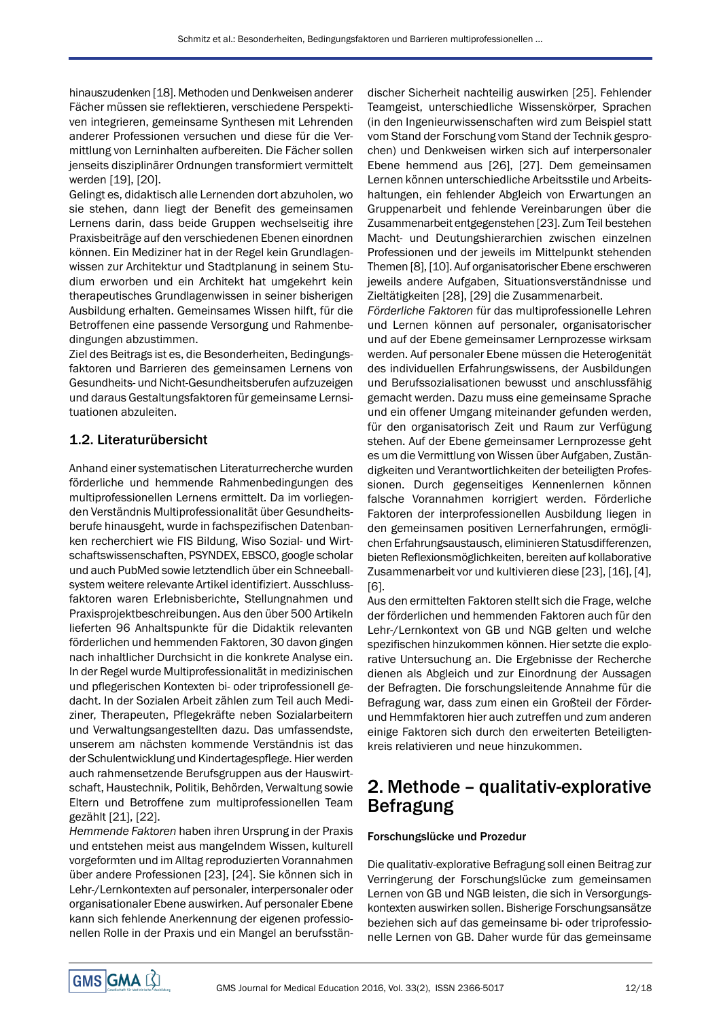hinauszudenken [18]. Methoden und Denkweisen anderer Fächer müssen sie reflektieren, verschiedene Perspektiven integrieren, gemeinsame Synthesen mit Lehrenden anderer Professionen versuchen und diese für die Vermittlung von Lerninhalten aufbereiten. Die Fächer sollen jenseits disziplinärer Ordnungen transformiert vermittelt werden [19], [20].

Gelingt es, didaktisch alle Lernenden dort abzuholen, wo sie stehen, dann liegt der Benefit des gemeinsamen Lernens darin, dass beide Gruppen wechselseitig ihre Praxisbeiträge auf den verschiedenen Ebenen einordnen können. Ein Mediziner hat in der Regel kein Grundlagenwissen zur Architektur und Stadtplanung in seinem Studium erworben und ein Architekt hat umgekehrt kein therapeutisches Grundlagenwissen in seiner bisherigen Ausbildung erhalten. Gemeinsames Wissen hilft, für die Betroffenen eine passende Versorgung und Rahmenbedingungen abzustimmen.

Ziel des Beitrags ist es, die Besonderheiten, Bedingungsfaktoren und Barrieren des gemeinsamen Lernens von Gesundheits- und Nicht-Gesundheitsberufen aufzuzeigen und daraus Gestaltungsfaktoren für gemeinsame Lernsituationen abzuleiten.

### 1.2. Literaturübersicht

Anhand einer systematischen Literaturrecherche wurden förderliche und hemmende Rahmenbedingungen des multiprofessionellen Lernens ermittelt. Da im vorliegenden Verständnis Multiprofessionalität über Gesundheitsberufe hinausgeht, wurde in fachspezifischen Datenbanken recherchiert wie FIS Bildung, Wiso Sozial- und Wirtschaftswissenschaften, PSYNDEX, EBSCO, google scholar und auch PubMed sowie letztendlich über ein Schneeballsystem weitere relevante Artikel identifiziert. Ausschlussfaktoren waren Erlebnisberichte, Stellungnahmen und Praxisprojektbeschreibungen. Aus den über 500 Artikeln lieferten 96 Anhaltspunkte für die Didaktik relevanten förderlichen und hemmenden Faktoren, 30 davon gingen nach inhaltlicher Durchsicht in die konkrete Analyse ein. In der Regel wurde Multiprofessionalität in medizinischen und pflegerischen Kontexten bi- oder triprofessionell gedacht. In der Sozialen Arbeit zählen zum Teil auch Mediziner, Therapeuten, Pflegekräfte neben Sozialarbeitern und Verwaltungsangestellten dazu. Das umfassendste, unserem am nächsten kommende Verständnis ist das der Schulentwicklung und Kindertagespflege. Hier werden auch rahmensetzende Berufsgruppen aus der Hauswirtschaft, Haustechnik, Politik, Behörden, Verwaltung sowie Eltern und Betroffene zum multiprofessionellen Team gezählt [21], [22].

*Hemmende Faktoren* haben ihren Ursprung in der Praxis und entstehen meist aus mangelndem Wissen, kulturell vorgeformten und im Alltag reproduzierten Vorannahmen über andere Professionen [23], [24]. Sie können sich in Lehr-/Lernkontexten auf personaler, interpersonaler oder organisationaler Ebene auswirken. Auf personaler Ebene kann sich fehlende Anerkennung der eigenen professionellen Rolle in der Praxis und ein Mangel an berufsstän-

discher Sicherheit nachteilig auswirken [25]. Fehlender Teamgeist, unterschiedliche Wissenskörper, Sprachen (in den Ingenieurwissenschaften wird zum Beispiel statt vom Stand der Forschung vom Stand der Technik gesprochen) und Denkweisen wirken sich auf interpersonaler Ebene hemmend aus [26], [27]. Dem gemeinsamen Lernen können unterschiedliche Arbeitsstile und Arbeitshaltungen, ein fehlender Abgleich von Erwartungen an Gruppenarbeit und fehlende Vereinbarungen über die Zusammenarbeit entgegenstehen [23]. Zum Teil bestehen Macht- und Deutungshierarchien zwischen einzelnen Professionen und der jeweils im Mittelpunkt stehenden Themen [8], [10]. Auf organisatorischer Ebene erschweren jeweils andere Aufgaben, Situationsverständnisse und Zieltätigkeiten [28], [29] die Zusammenarbeit.

*Förderliche Faktoren* für das multiprofessionelle Lehren und Lernen können auf personaler, organisatorischer und auf der Ebene gemeinsamer Lernprozesse wirksam werden. Auf personaler Ebene müssen die Heterogenität des individuellen Erfahrungswissens, der Ausbildungen und Berufssozialisationen bewusst und anschlussfähig gemacht werden. Dazu muss eine gemeinsame Sprache und ein offener Umgang miteinander gefunden werden, für den organisatorisch Zeit und Raum zur Verfügung stehen. Auf der Ebene gemeinsamer Lernprozesse geht es um die Vermittlung von Wissen über Aufgaben, Zuständigkeiten und Verantwortlichkeiten der beteiligten Professionen. Durch gegenseitiges Kennenlernen können falsche Vorannahmen korrigiert werden. Förderliche Faktoren der interprofessionellen Ausbildung liegen in den gemeinsamen positiven Lernerfahrungen, ermöglichen Erfahrungsaustausch, eliminieren Statusdifferenzen, bieten Reflexionsmöglichkeiten, bereiten auf kollaborative Zusammenarbeit vor und kultivieren diese [23], [16], [4], [6].

Aus den ermittelten Faktoren stellt sich die Frage, welche der förderlichen und hemmenden Faktoren auch für den Lehr-/Lernkontext von GB und NGB gelten und welche spezifischen hinzukommen können. Hier setzte die explorative Untersuchung an. Die Ergebnisse der Recherche dienen als Abgleich und zur Einordnung der Aussagen der Befragten. Die forschungsleitende Annahme für die Befragung war, dass zum einen ein Großteil der Förderund Hemmfaktoren hier auch zutreffen und zum anderen einige Faktoren sich durch den erweiterten Beteiligtenkreis relativieren und neue hinzukommen.

## 2. Methode – qualitativ-explorative Befragung

#### Forschungslücke und Prozedur

Die qualitativ-explorative Befragung soll einen Beitrag zur Verringerung der Forschungslücke zum gemeinsamen Lernen von GB und NGB leisten, die sich in Versorgungskontexten auswirken sollen. Bisherige Forschungsansätze beziehen sich auf das gemeinsame bi- oder triprofessionelle Lernen von GB. Daher wurde für das gemeinsame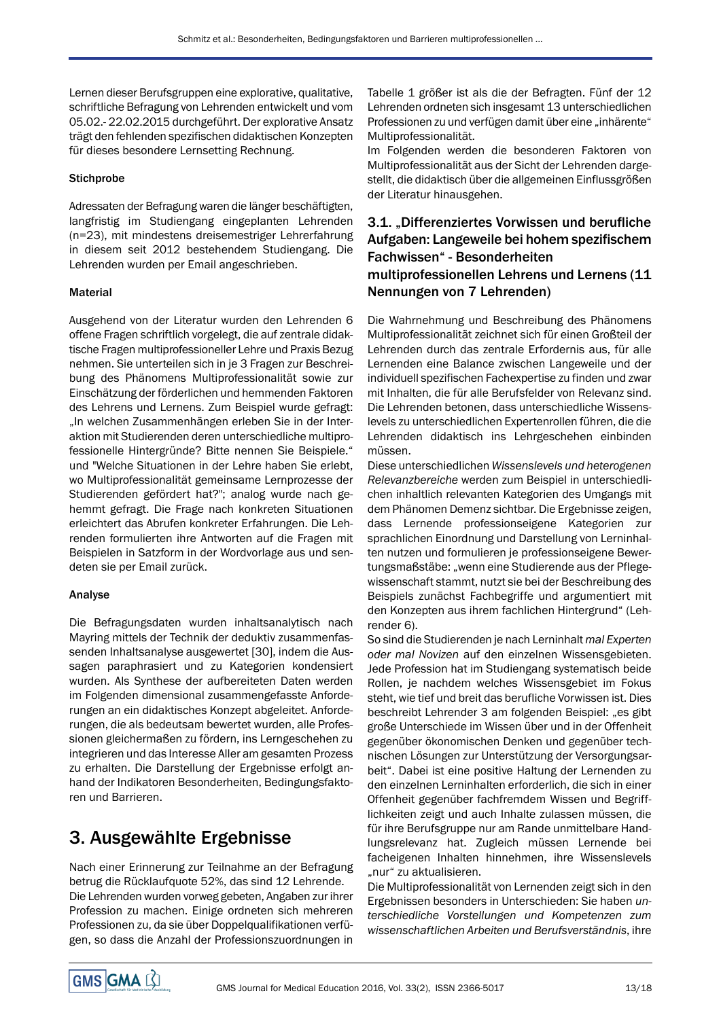Lernen dieser Berufsgruppen eine explorative, qualitative, schriftliche Befragung von Lehrenden entwickelt und vom 05.02.- 22.02.2015 durchgeführt. Der explorative Ansatz trägt den fehlenden spezifischen didaktischen Konzepten für dieses besondere Lernsetting Rechnung.

### **Stichprobe**

Adressaten der Befragung waren die länger beschäftigten, langfristig im Studiengang eingeplanten Lehrenden (n=23), mit mindestens dreisemestriger Lehrerfahrung in diesem seit 2012 bestehendem Studiengang. Die Lehrenden wurden per Email angeschrieben.

### Material

Ausgehend von der Literatur wurden den Lehrenden 6 offene Fragen schriftlich vorgelegt, die auf zentrale didaktische Fragen multiprofessioneller Lehre und Praxis Bezug nehmen. Sie unterteilen sich in je 3 Fragen zur Beschreibung des Phänomens Multiprofessionalität sowie zur Einschätzung der förderlichen und hemmenden Faktoren des Lehrens und Lernens. Zum Beispiel wurde gefragt: "In welchen Zusammenhängen erleben Sie in der Interaktion mit Studierenden deren unterschiedliche multiprofessionelle Hintergründe? Bitte nennen Sie Beispiele." und "Welche Situationen in der Lehre haben Sie erlebt, wo Multiprofessionalität gemeinsame Lernprozesse der Studierenden gefördert hat?"; analog wurde nach gehemmt gefragt. Die Frage nach konkreten Situationen erleichtert das Abrufen konkreter Erfahrungen. Die Lehrenden formulierten ihre Antworten auf die Fragen mit Beispielen in Satzform in der Wordvorlage aus und sendeten sie per Email zurück.

### Analyse

Die Befragungsdaten wurden inhaltsanalytisch nach Mayring mittels der Technik der deduktiv zusammenfassenden Inhaltsanalyse ausgewertet [30], indem die Aussagen paraphrasiert und zu Kategorien kondensiert wurden. Als Synthese der aufbereiteten Daten werden im Folgenden dimensional zusammengefasste Anforderungen an ein didaktisches Konzept abgeleitet. Anforderungen, die als bedeutsam bewertet wurden, alle Professionen gleichermaßen zu fördern, ins Lerngeschehen zu integrieren und das Interesse Aller am gesamten Prozess zu erhalten. Die Darstellung der Ergebnisse erfolgt anhand der Indikatoren Besonderheiten, Bedingungsfaktoren und Barrieren.

# 3. Ausgewählte Ergebnisse

Nach einer Erinnerung zur Teilnahme an der Befragung betrug die Rücklaufquote 52%, das sind 12 Lehrende. Die Lehrenden wurden vorweg gebeten, Angaben zur ihrer Profession zu machen. Einige ordneten sich mehreren Professionen zu, da sie über Doppelqualifikationen verfügen, so dass die Anzahl der Professionszuordnungen in

Tabelle 1 größer ist als die der Befragten. Fünf der 12 Lehrenden ordneten sich insgesamt 13 unterschiedlichen Professionen zu und verfügen damit über eine "inhärente" Multiprofessionalität.

Im Folgenden werden die besonderen Faktoren von Multiprofessionalität aus der Sicht der Lehrenden dargestellt, die didaktisch über die allgemeinen Einflussgrößen der Literatur hinausgehen.

## 3.1. "Differenziertes Vorwissen und berufliche Aufgaben: Langeweile bei hohem spezifischem Fachwissen" - Besonderheiten multiprofessionellen Lehrens und Lernens (11 Nennungen von 7 Lehrenden)

Die Wahrnehmung und Beschreibung des Phänomens Multiprofessionalität zeichnet sich für einen Großteil der Lehrenden durch das zentrale Erfordernis aus, für alle Lernenden eine Balance zwischen Langeweile und der individuell spezifischen Fachexpertise zu finden und zwar mit Inhalten, die für alle Berufsfelder von Relevanz sind. Die Lehrenden betonen, dass unterschiedliche Wissenslevels zu unterschiedlichen Expertenrollen führen, die die Lehrenden didaktisch ins Lehrgeschehen einbinden müssen.

Diese unterschiedlichen *Wissenslevels und heterogenen Relevanzbereiche* werden zum Beispiel in unterschiedlichen inhaltlich relevanten Kategorien des Umgangs mit dem Phänomen Demenz sichtbar. Die Ergebnisse zeigen, dass Lernende professionseigene Kategorien zur sprachlichen Einordnung und Darstellung von Lerninhalten nutzen und formulieren je professionseigene Bewertungsmaßstäbe: "wenn eine Studierende aus der Pflegewissenschaft stammt, nutzt sie bei der Beschreibung des Beispiels zunächst Fachbegriffe und argumentiert mit den Konzepten aus ihrem fachlichen Hintergrund" (Lehrender 6).

So sind die Studierenden je nach Lerninhalt *mal Experten oder mal Novizen* auf den einzelnen Wissensgebieten. Jede Profession hat im Studiengang systematisch beide Rollen, je nachdem welches Wissensgebiet im Fokus steht, wie tief und breit das berufliche Vorwissen ist. Dies beschreibt Lehrender 3 am folgenden Beispiel: "es gibt große Unterschiede im Wissen über und in der Offenheit gegenüber ökonomischen Denken und gegenüber technischen Lösungen zur Unterstützung der Versorgungsarbeit". Dabei ist eine positive Haltung der Lernenden zu den einzelnen Lerninhalten erforderlich, die sich in einer Offenheit gegenüber fachfremdem Wissen und Begrifflichkeiten zeigt und auch Inhalte zulassen müssen, die für ihre Berufsgruppe nur am Rande unmittelbare Handlungsrelevanz hat. Zugleich müssen Lernende bei facheigenen Inhalten hinnehmen, ihre Wissenslevels "nur" zu aktualisieren.

Die Multiprofessionalität von Lernenden zeigt sich in den Ergebnissen besonders in Unterschieden: Sie haben *unterschiedliche Vorstellungen und Kompetenzen zum wissenschaftlichen Arbeiten und Berufsverständnis*, ihre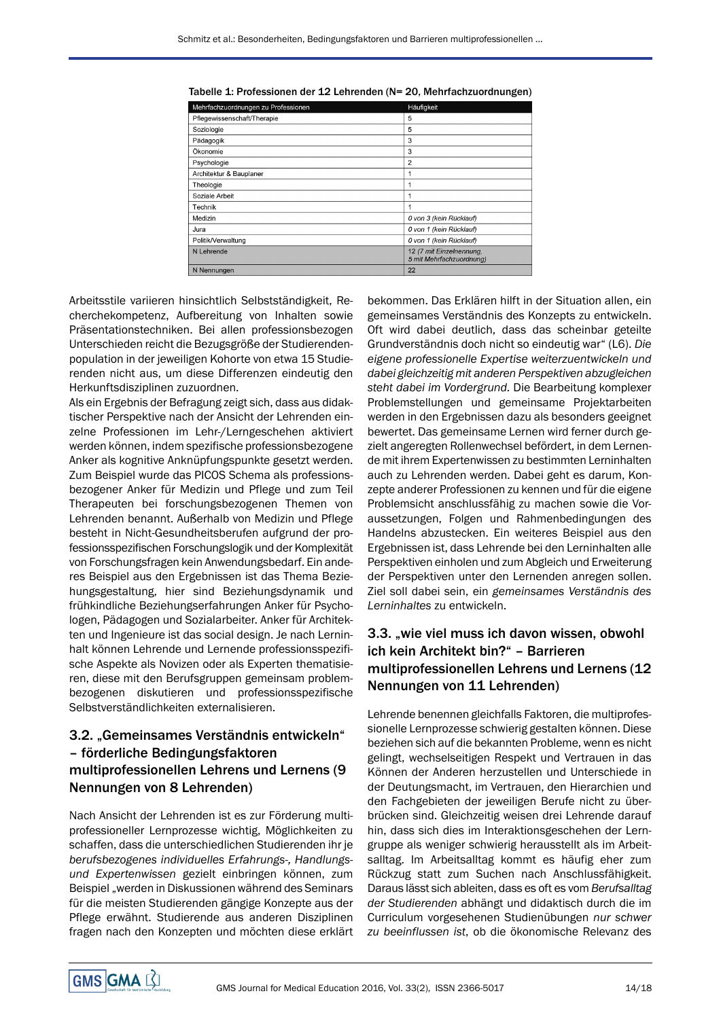| Mehrfachzuordnungen zu Professionen | Häufigkeit                                           |
|-------------------------------------|------------------------------------------------------|
| Pfleqewissenschaft/Therapie         | 5                                                    |
| Soziologie                          | 5                                                    |
| Pädagogik                           | 3                                                    |
| Ökonomie                            | 3                                                    |
| Psychologie                         | $\overline{2}$                                       |
| Architektur & Bauplaner             |                                                      |
| Theologie                           |                                                      |
| Soziale Arbeit                      | 1                                                    |
| Technik                             | 1                                                    |
| Medizin                             | 0 von 3 (kein Rücklauf)                              |
| Jura                                | 0 von 1 (kein Rücklauf)                              |
| Politik/Verwaltung                  | 0 von 1 (kein Rücklauf)                              |
| N Lehrende                          | 12 (7 mit Einzelnennung,<br>5 mit Mehrfachzuordnung) |
| N Nennungen                         | 22                                                   |

|  |  | Tabelle 1: Professionen der 12 Lehrenden (N= 20, Mehrfachzuordnungen) |  |
|--|--|-----------------------------------------------------------------------|--|
|--|--|-----------------------------------------------------------------------|--|

Arbeitsstile variieren hinsichtlich Selbstständigkeit, Recherchekompetenz, Aufbereitung von Inhalten sowie Präsentationstechniken. Bei allen professionsbezogen Unterschieden reicht die Bezugsgröße der Studierendenpopulation in der jeweiligen Kohorte von etwa 15 Studierenden nicht aus, um diese Differenzen eindeutig den Herkunftsdisziplinen zuzuordnen.

Als ein Ergebnis der Befragung zeigt sich, dass aus didaktischer Perspektive nach der Ansicht der Lehrenden einzelne Professionen im Lehr-/Lerngeschehen aktiviert werden können, indem spezifische professionsbezogene Anker als kognitive Anknüpfungspunkte gesetzt werden. Zum Beispiel wurde das PICOS Schema als professionsbezogener Anker für Medizin und Pflege und zum Teil Therapeuten bei forschungsbezogenen Themen von Lehrenden benannt. Außerhalb von Medizin und Pflege besteht in Nicht-Gesundheitsberufen aufgrund der professionsspezifischen Forschungslogik und der Komplexität von Forschungsfragen kein Anwendungsbedarf. Ein anderes Beispiel aus den Ergebnissen ist das Thema Beziehungsgestaltung, hier sind Beziehungsdynamik und frühkindliche Beziehungserfahrungen Anker für Psychologen, Pädagogen und Sozialarbeiter. Anker für Architekten und Ingenieure ist das social design. Je nach Lerninhalt können Lehrende und Lernende professionsspezifische Aspekte als Novizen oder als Experten thematisieren, diese mit den Berufsgruppen gemeinsam problembezogenen diskutieren und professionsspezifische Selbstverständlichkeiten externalisieren.

### 3.2. "Gemeinsames Verständnis entwickeln" – förderliche Bedingungsfaktoren multiprofessionellen Lehrens und Lernens (9 Nennungen von 8 Lehrenden)

Nach Ansicht der Lehrenden ist es zur Förderung multiprofessioneller Lernprozesse wichtig, Möglichkeiten zu schaffen, dass die unterschiedlichen Studierenden ihr je *berufsbezogenes individuelles Erfahrungs-, Handlungsund Expertenwissen* gezielt einbringen können, zum Beispiel "werden in Diskussionen während des Seminars für die meisten Studierenden gängige Konzepte aus der Pflege erwähnt. Studierende aus anderen Disziplinen fragen nach den Konzepten und möchten diese erklärt bekommen. Das Erklären hilft in der Situation allen, ein gemeinsames Verständnis des Konzepts zu entwickeln. Oft wird dabei deutlich, dass das scheinbar geteilte Grundverständnis doch nicht so eindeutig war" (L6). *Die eigene professionelle Expertise weiterzuentwickeln und dabei gleichzeitig mit anderenPerspektiven abzugleichen steht dabei im Vordergrund.* Die Bearbeitung komplexer Problemstellungen und gemeinsame Projektarbeiten werden in den Ergebnissen dazu als besonders geeignet bewertet. Das gemeinsame Lernen wird ferner durch gezielt angeregten Rollenwechsel befördert, in dem Lernende mit ihrem Expertenwissen zu bestimmten Lerninhalten auch zu Lehrenden werden. Dabei geht es darum, Konzepte anderer Professionen zu kennen und für die eigene Problemsicht anschlussfähig zu machen sowie die Voraussetzungen, Folgen und Rahmenbedingungen des Handelns abzustecken. Ein weiteres Beispiel aus den Ergebnissen ist, dass Lehrende bei den Lerninhalten alle Perspektiven einholen und zum Abgleich und Erweiterung der Perspektiven unter den Lernenden anregen sollen. Ziel soll dabei sein, ein *gemeinsames Verständnis des Lerninhaltes* zu entwickeln.

### 3.3. "wie viel muss ich davon wissen, obwohl ich kein Architekt bin?" – Barrieren multiprofessionellen Lehrens und Lernens (12 Nennungen von 11 Lehrenden)

Lehrende benennen gleichfalls Faktoren, die multiprofessionelle Lernprozesse schwierig gestalten können. Diese beziehen sich auf die bekannten Probleme, wenn es nicht gelingt, wechselseitigen Respekt und Vertrauen in das Können der Anderen herzustellen und Unterschiede in der Deutungsmacht, im Vertrauen, den Hierarchien und den Fachgebieten der jeweiligen Berufe nicht zu überbrücken sind. Gleichzeitig weisen drei Lehrende darauf hin, dass sich dies im Interaktionsgeschehen der Lerngruppe als weniger schwierig herausstellt als im Arbeitsalltag. Im Arbeitsalltag kommt es häufig eher zum Rückzug statt zum Suchen nach Anschlussfähigkeit. Daraus lässt sich ableiten, dass es oft es vom *Berufsalltag der Studierenden* abhängt und didaktisch durch die im Curriculum vorgesehenen Studienübungen *nur schwer zu beeinflussen ist*, ob die ökonomische Relevanz des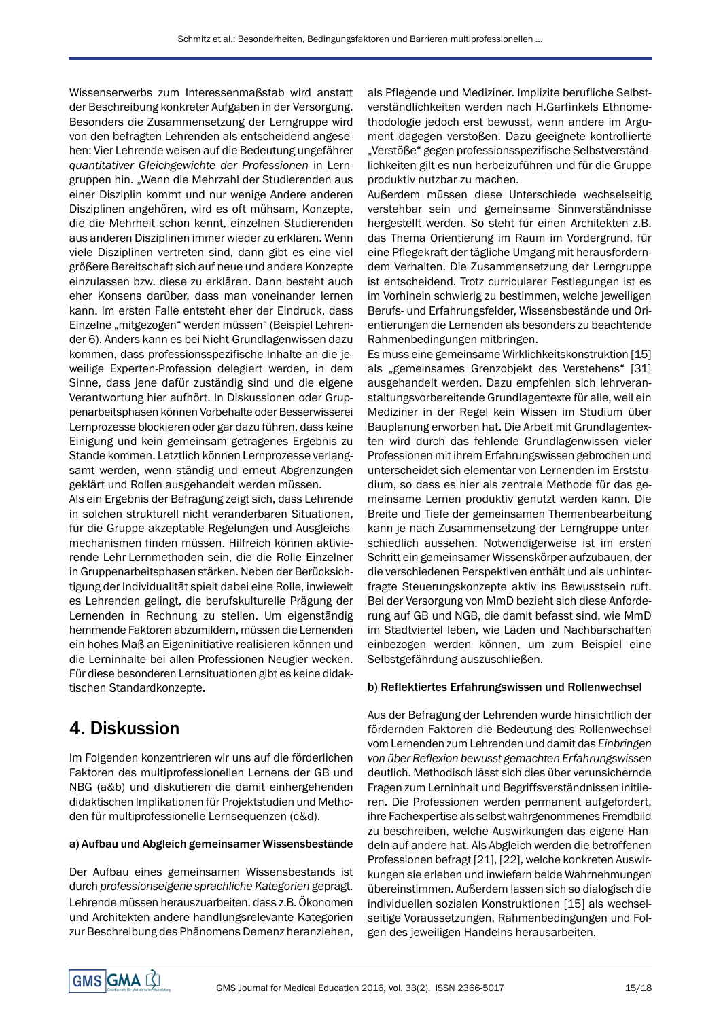Wissenserwerbs zum Interessenmaßstab wird anstatt der Beschreibung konkreter Aufgaben in der Versorgung. Besonders die Zusammensetzung der Lerngruppe wird von den befragten Lehrenden als entscheidend angesehen: Vier Lehrende weisen auf die Bedeutung ungefährer *quantitativer Gleichgewichte der Professionen* in Lerngruppen hin. "Wenn die Mehrzahl der Studierenden aus einer Disziplin kommt und nur wenige Andere anderen Disziplinen angehören, wird es oft mühsam, Konzepte, die die Mehrheit schon kennt, einzelnen Studierenden aus anderen Disziplinen immer wieder zu erklären. Wenn viele Disziplinen vertreten sind, dann gibt es eine viel größere Bereitschaft sich auf neue und andere Konzepte einzulassen bzw. diese zu erklären. Dann besteht auch eher Konsens darüber, dass man voneinander lernen kann. Im ersten Falle entsteht eher der Eindruck, dass Einzelne "mitgezogen" werden müssen" (Beispiel Lehrender 6). Anders kann es bei Nicht-Grundlagenwissen dazu kommen, dass professionsspezifische Inhalte an die jeweilige Experten-Profession delegiert werden, in dem Sinne, dass jene dafür zuständig sind und die eigene Verantwortung hier aufhört. In Diskussionen oder Gruppenarbeitsphasen können Vorbehalte oder Besserwisserei Lernprozesse blockieren oder gar dazu führen, dass keine Einigung und kein gemeinsam getragenes Ergebnis zu Stande kommen. Letztlich können Lernprozesse verlangsamt werden, wenn ständig und erneut Abgrenzungen geklärt und Rollen ausgehandelt werden müssen.

Als ein Ergebnis der Befragung zeigt sich, dass Lehrende in solchen strukturell nicht veränderbaren Situationen, für die Gruppe akzeptable Regelungen und Ausgleichsmechanismen finden müssen. Hilfreich können aktivierende Lehr-Lernmethoden sein, die die Rolle Einzelner in Gruppenarbeitsphasen stärken. Neben der Berücksichtigung der Individualität spielt dabei eine Rolle, inwieweit es Lehrenden gelingt, die berufskulturelle Prägung der Lernenden in Rechnung zu stellen. Um eigenständig hemmende Faktoren abzumildern, müssen die Lernenden ein hohes Maß an Eigeninitiative realisieren können und die Lerninhalte bei allen Professionen Neugier wecken. Für diese besonderen Lernsituationen gibt es keine didaktischen Standardkonzepte.

# 4. Diskussion

Im Folgenden konzentrieren wir uns auf die förderlichen Faktoren des multiprofessionellen Lernens der GB und NBG (a&b) und diskutieren die damit einhergehenden didaktischen Implikationen für Projektstudien und Methoden für multiprofessionelle Lernsequenzen (c&d).

### a) Aufbau und Abgleich gemeinsamer Wissensbestände

Der Aufbau eines gemeinsamen Wissensbestands ist durch *professionseigene sprachliche Kategorien* geprägt. Lehrende müssen herauszuarbeiten, dass z.B. Ökonomen und Architekten andere handlungsrelevante Kategorien zur Beschreibung des Phänomens Demenz heranziehen,

als Pflegende und Mediziner. Implizite berufliche Selbstverständlichkeiten werden nach H.Garfinkels Ethnomethodologie jedoch erst bewusst, wenn andere im Argument dagegen verstoßen. Dazu geeignete kontrollierte "Verstöße" gegen professionsspezifische Selbstverständlichkeiten gilt es nun herbeizuführen und für die Gruppe produktiv nutzbar zu machen.

Außerdem müssen diese Unterschiede wechselseitig verstehbar sein und gemeinsame Sinnverständnisse hergestellt werden. So steht für einen Architekten z.B. das Thema Orientierung im Raum im Vordergrund, für eine Pflegekraft der tägliche Umgang mit herausforderndem Verhalten. Die Zusammensetzung der Lerngruppe ist entscheidend. Trotz curricularer Festlegungen ist es im Vorhinein schwierig zu bestimmen, welche jeweiligen Berufs- und Erfahrungsfelder, Wissensbestände und Orientierungen die Lernenden als besonders zu beachtende Rahmenbedingungen mitbringen.

Es muss eine gemeinsame Wirklichkeitskonstruktion [15] als "gemeinsames Grenzobjekt des Verstehens" [31] ausgehandelt werden. Dazu empfehlen sich lehrveranstaltungsvorbereitende Grundlagentexte für alle, weil ein Mediziner in der Regel kein Wissen im Studium über Bauplanung erworben hat. Die Arbeit mit Grundlagentexten wird durch das fehlende Grundlagenwissen vieler Professionen mit ihrem Erfahrungswissen gebrochen und unterscheidet sich elementar von Lernenden im Erststudium, so dass es hier als zentrale Methode für das gemeinsame Lernen produktiv genutzt werden kann. Die Breite und Tiefe der gemeinsamen Themenbearbeitung kann je nach Zusammensetzung der Lerngruppe unterschiedlich aussehen. Notwendigerweise ist im ersten Schritt ein gemeinsamer Wissenskörper aufzubauen, der die verschiedenen Perspektiven enthält und als unhinterfragte Steuerungskonzepte aktiv ins Bewusstsein ruft. Bei der Versorgung von MmD bezieht sich diese Anforderung auf GB und NGB, die damit befasst sind, wie MmD im Stadtviertel leben, wie Läden und Nachbarschaften einbezogen werden können, um zum Beispiel eine Selbstgefährdung auszuschließen.

### b) Reflektiertes Erfahrungswissen und Rollenwechsel

Aus der Befragung der Lehrenden wurde hinsichtlich der fördernden Faktoren die Bedeutung des Rollenwechsel vom Lernenden zum Lehrenden und damit das *Einbringen von über Reflexion bewusst gemachten Erfahrungswissen* deutlich. Methodisch lässt sich dies über verunsichernde Fragen zum Lerninhalt und Begriffsverständnissen initiieren. Die Professionen werden permanent aufgefordert, ihre Fachexpertise als selbst wahrgenommenes Fremdbild zu beschreiben, welche Auswirkungen das eigene Handeln auf andere hat. Als Abgleich werden die betroffenen Professionen befragt [21], [22], welche konkreten Auswirkungen sie erleben und inwiefern beide Wahrnehmungen übereinstimmen. Außerdem lassen sich so dialogisch die individuellen sozialen Konstruktionen [15] als wechselseitige Voraussetzungen, Rahmenbedingungen und Folgen des jeweiligen Handelns herausarbeiten.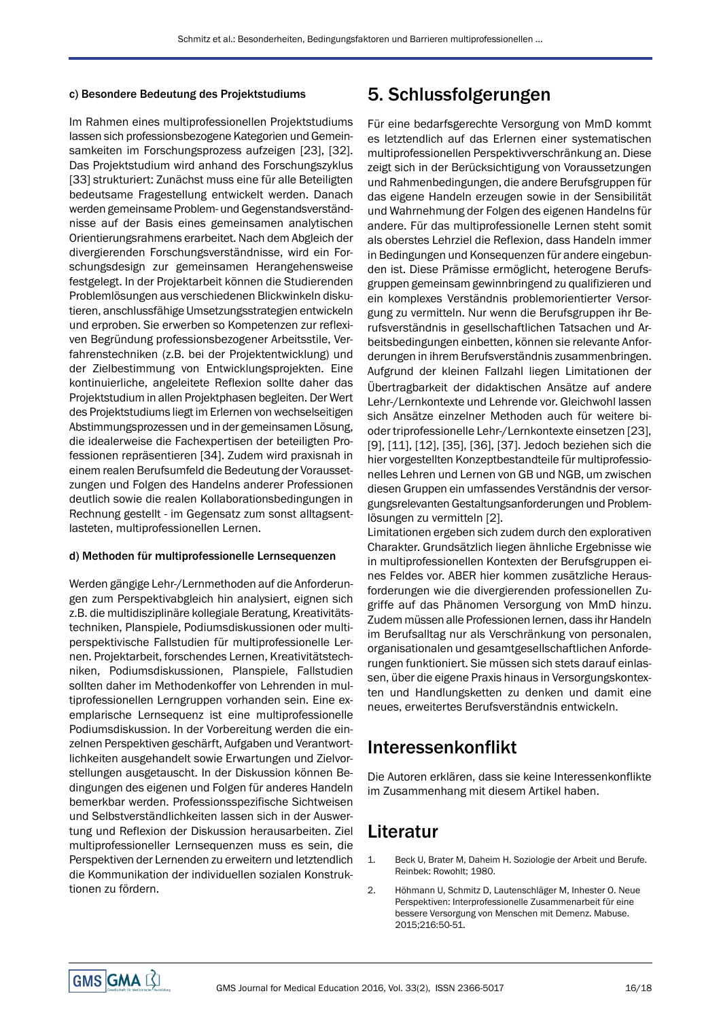#### c) Besondere Bedeutung des Projektstudiums

Im Rahmen eines multiprofessionellen Projektstudiums lassen sich professionsbezogene Kategorien und Gemeinsamkeiten im Forschungsprozess aufzeigen [23], [32]. Das Projektstudium wird anhand des Forschungszyklus [33] strukturiert: Zunächst muss eine für alle Beteiligten bedeutsame Fragestellung entwickelt werden. Danach werden gemeinsame Problem- und Gegenstandsverständnisse auf der Basis eines gemeinsamen analytischen Orientierungsrahmens erarbeitet. Nach dem Abgleich der divergierenden Forschungsverständnisse, wird ein Forschungsdesign zur gemeinsamen Herangehensweise festgelegt. In der Projektarbeit können die Studierenden Problemlösungen aus verschiedenen Blickwinkeln diskutieren, anschlussfähige Umsetzungsstrategien entwickeln und erproben. Sie erwerben so Kompetenzen zur reflexiven Begründung professionsbezogener Arbeitsstile, Verfahrenstechniken (z.B. bei der Projektentwicklung) und der Zielbestimmung von Entwicklungsprojekten. Eine kontinuierliche, angeleitete Reflexion sollte daher das Projektstudium in allen Projektphasen begleiten. Der Wert des Projektstudiums liegt im Erlernen von wechselseitigen Abstimmungsprozessen und in der gemeinsamen Lösung, die idealerweise die Fachexpertisen der beteiligten Professionen repräsentieren [34]. Zudem wird praxisnah in einem realen Berufsumfeld die Bedeutung der Voraussetzungen und Folgen des Handelns anderer Professionen deutlich sowie die realen Kollaborationsbedingungen in Rechnung gestellt - im Gegensatz zum sonst alltagsentlasteten, multiprofessionellen Lernen.

#### d) Methoden für multiprofessionelle Lernsequenzen

Werden gängige Lehr-/Lernmethoden auf die Anforderungen zum Perspektivabgleich hin analysiert, eignen sich z.B. die multidisziplinäre kollegiale Beratung, Kreativitätstechniken, Planspiele, Podiumsdiskussionen oder multiperspektivische Fallstudien für multiprofessionelle Lernen. Projektarbeit, forschendes Lernen, Kreativitätstechniken, Podiumsdiskussionen, Planspiele, Fallstudien sollten daher im Methodenkoffer von Lehrenden in multiprofessionellen Lerngruppen vorhanden sein. Eine exemplarische Lernsequenz ist eine multiprofessionelle Podiumsdiskussion. In der Vorbereitung werden die einzelnen Perspektiven geschärft, Aufgaben und Verantwortlichkeiten ausgehandelt sowie Erwartungen und Zielvorstellungen ausgetauscht. In der Diskussion können Bedingungen des eigenen und Folgen für anderes Handeln bemerkbar werden. Professionsspezifische Sichtweisen und Selbstverständlichkeiten lassen sich in der Auswertung und Reflexion der Diskussion herausarbeiten. Ziel multiprofessioneller Lernsequenzen muss es sein, die Perspektiven der Lernenden zu erweitern und letztendlich die Kommunikation der individuellen sozialen Konstruktionen zu fördern.

## 5. Schlussfolgerungen

Für eine bedarfsgerechte Versorgung von MmD kommt es letztendlich auf das Erlernen einer systematischen multiprofessionellen Perspektivverschränkung an. Diese zeigt sich in der Berücksichtigung von Voraussetzungen und Rahmenbedingungen, die andere Berufsgruppen für das eigene Handeln erzeugen sowie in der Sensibilität und Wahrnehmung der Folgen des eigenen Handelns für andere. Für das multiprofessionelle Lernen steht somit als oberstes Lehrziel die Reflexion, dass Handeln immer in Bedingungen und Konsequenzen für andere eingebunden ist. Diese Prämisse ermöglicht, heterogene Berufsgruppen gemeinsam gewinnbringend zu qualifizieren und ein komplexes Verständnis problemorientierter Versorgung zu vermitteln. Nur wenn die Berufsgruppen ihr Berufsverständnis in gesellschaftlichen Tatsachen und Arbeitsbedingungen einbetten, können sie relevante Anforderungen in ihrem Berufsverständnis zusammenbringen. Aufgrund der kleinen Fallzahl liegen Limitationen der Übertragbarkeit der didaktischen Ansätze auf andere Lehr-/Lernkontexte und Lehrende vor. Gleichwohl lassen sich Ansätze einzelner Methoden auch für weitere bioder triprofessionelle Lehr-/Lernkontexte einsetzen [23], [9], [11], [12], [35], [36], [37]. Jedoch beziehen sich die hier vorgestellten Konzeptbestandteile für multiprofessionelles Lehren und Lernen von GB und NGB, um zwischen diesen Gruppen ein umfassendes Verständnis der versorgungsrelevanten Gestaltungsanforderungen und Problemlösungen zu vermitteln [2].

Limitationen ergeben sich zudem durch den explorativen Charakter. Grundsätzlich liegen ähnliche Ergebnisse wie in multiprofessionellen Kontexten der Berufsgruppen eines Feldes vor. ABER hier kommen zusätzliche Herausforderungen wie die divergierenden professionellen Zugriffe auf das Phänomen Versorgung von MmD hinzu. Zudem müssen alle Professionen lernen, dass ihr Handeln im Berufsalltag nur als Verschränkung von personalen, organisationalen und gesamtgesellschaftlichen Anforderungen funktioniert. Sie müssen sich stets darauf einlassen, über die eigene Praxis hinaus in Versorgungskontexten und Handlungsketten zu denken und damit eine neues, erweitertes Berufsverständnis entwickeln.

## Interessenkonflikt

Die Autoren erklären, dass sie keine Interessenkonflikte im Zusammenhang mit diesem Artikel haben.

## Literatur

- 1. Beck U, Brater M, Daheim H. Soziologie der Arbeit und Berufe. Reinbek: Rowohlt; 1980.
- 2. Höhmann U, Schmitz D, Lautenschläger M, Inhester O. Neue Perspektiven: Interprofessionelle Zusammenarbeit für eine bessere Versorgung von Menschen mit Demenz. Mabuse. 2015;216:50-51.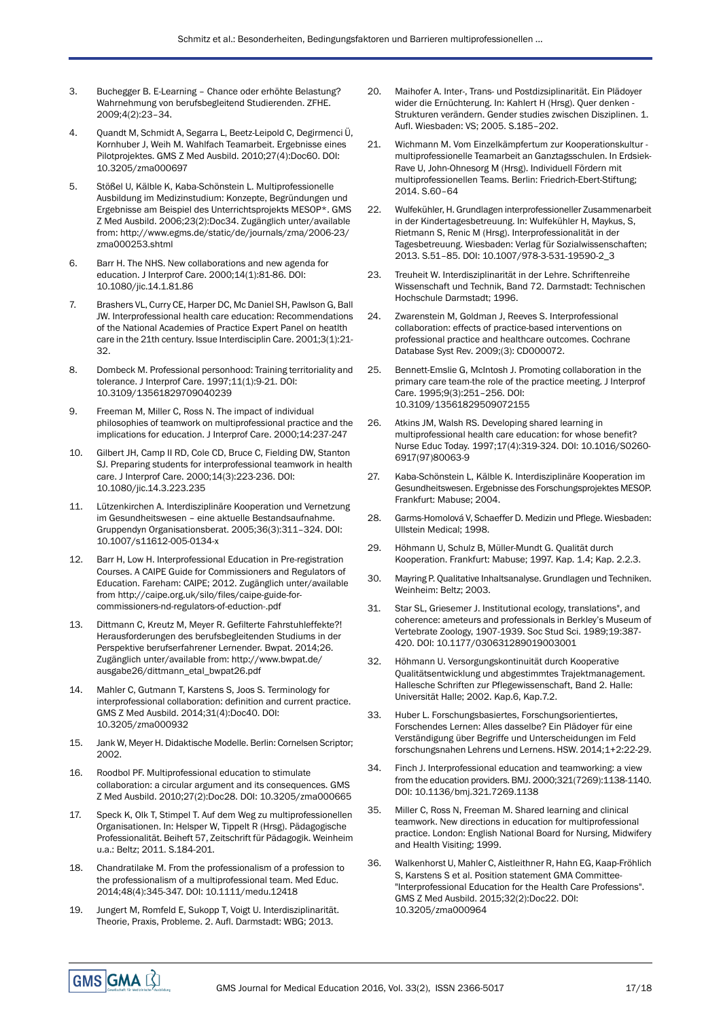- 3. Buchegger B. E-Learning Chance oder erhöhte Belastung? Wahrnehmung von berufsbegleitend Studierenden. ZFHE. 2009;4(2):23–34.
- 4. Quandt M, Schmidt A, Segarra L, Beetz-Leipold C, Degirmenci Ü, Kornhuber J, Weih M. Wahlfach Teamarbeit. Ergebnisse eines Pilotprojektes. GMS Z Med Ausbild. 2010;27(4):Doc60. DOI: 10.3205/zma000697
- 5. Stößel U, Kälble K, Kaba-Schönstein L. Multiprofessionelle Ausbildung im Medizinstudium: Konzepte, Begründungen und Ergebnisse am Beispiel des Unterrichtsprojekts MESOP\*. GMS Z Med Ausbild. 2006;23(2):Doc34. Zugänglich unter/available from: [http://www.egms.de/static/de/journals/zma/2006-23/](http://www.egms.de/static/de/journals/zma/2006-23/zma000253.shtml) [zma000253.shtml](http://www.egms.de/static/de/journals/zma/2006-23/zma000253.shtml)
- 6. Barr H. The NHS. New collaborations and new agenda for education. J Interprof Care. 2000;14(1):81-86. DOI: 10.1080/jic.14.1.81.86
- 7. Brashers VL, Curry CE, Harper DC, Mc Daniel SH, Pawlson G, Ball JW. Interprofessional health care education: Recommendations of the National Academies of Practice Expert Panel on heatlth care in the 21th century. Issue Interdisciplin Care. 2001;3(1):21- 32.
- 8. Dombeck M. Professional personhood: Training territoriality and tolerance. J Interprof Care. 1997;11(1):9-21. DOI: 10.3109/13561829709040239
- 9. Freeman M, Miller C, Ross N. The impact of individual philosophies of teamwork on multiprofessional practice and the implications for education. J Interprof Care. 2000;14:237-247
- 10. Gilbert JH, Camp II RD, Cole CD, Bruce C, Fielding DW, Stanton SJ. Preparing students for interprofessional teamwork in health care. J Interprof Care. 2000;14(3):223-236. DOI: 10.1080/jic.14.3.223.235
- 11. Lützenkirchen A. Interdisziplinäre Kooperation und Vernetzung im Gesundheitswesen – eine aktuelle Bestandsaufnahme. Gruppendyn Organisationsberat. 2005;36(3):311–324. DOI: 10.1007/s11612-005-0134-x
- 12. Barr H, Low H. Interprofessional Education in Pre-registration Courses. A CAIPE Guide for Commissioners and Regulators of Education. Fareham: CAIPE; 2012. Zugänglich unter/available from [http://caipe.org.uk/silo/files/caipe-guide-for](http://caipe.org.uk/silo/files/caipe-guide-for-commissioners-nd-regulators-of-eduction-.pdf)[commissioners-nd-regulators-of-eduction-.pdf](http://caipe.org.uk/silo/files/caipe-guide-for-commissioners-nd-regulators-of-eduction-.pdf)
- 13. Dittmann C, Kreutz M, Meyer R. Gefilterte Fahrstuhleffekte?! Herausforderungen des berufsbegleitenden Studiums in der Perspektive berufserfahrener Lernender. Bwpat. 2014;26. Zugänglich unter/available from: [http://www.bwpat.de/](http://www.bwpat.de/ausgabe26/dittmann_etal_bwpat26.pdf) [ausgabe26/dittmann\\_etal\\_bwpat26.pdf](http://www.bwpat.de/ausgabe26/dittmann_etal_bwpat26.pdf)
- 14. Mahler C, Gutmann T, Karstens S, Joos S. Terminology for interprofessional collaboration: definition and current practice. GMS Z Med Ausbild. 2014;31(4):Doc40. DOI: 10.3205/zma000932
- 15. Jank W, Meyer H. Didaktische Modelle. Berlin: Cornelsen Scriptor; 2002.
- 16. Roodbol PF. Multiprofessional education to stimulate collaboration: a circular argument and its consequences. GMS Z Med Ausbild. 2010;27(2):Doc28. DOI: 10.3205/zma000665
- 17. Speck K, Olk T, Stimpel T. Auf dem Weg zu multiprofessionellen Organisationen. In: Helsper W, Tippelt R (Hrsg). Pädagogische Professionalität. Beiheft 57, Zeitschrift für Pädagogik. Weinheim u.a.: Beltz; 2011. S.184-201.
- 18. Chandratilake M. From the professionalism of a profession to the professionalism of a multiprofessional team. Med Educ. 2014;48(4):345-347. DOI: 10.1111/medu.12418
- 19. Jungert M, Romfeld E, Sukopp T, Voigt U. Interdisziplinarität. Theorie, Praxis, Probleme. 2. Aufl. Darmstadt: WBG; 2013.
- 20. Maihofer A. Inter-, Trans- und Postdizsiplinarität. Ein Plädoyer wider die Ernüchterung. In: Kahlert H (Hrsg). Quer denken - Strukturen verändern. Gender studies zwischen Disziplinen. 1. Aufl. Wiesbaden: VS; 2005. S.185–202.
- 21. Wichmann M. Vom Einzelkämpfertum zur Kooperationskultur multiprofessionelle Teamarbeit an Ganztagsschulen. In Erdsiek-Rave U, John-Ohnesorg M (Hrsg). Individuell Fördern mit multiprofessionellen Teams. Berlin: Friedrich-Ebert-Stiftung; 2014. S.60–64
- 22. Wulfekühler, H. Grundlagen interprofessioneller Zusammenarbeit in der Kindertagesbetreuung. In: Wulfekühler H, Maykus, S, Rietmann S, Renic M (Hrsg). Interprofessionalität in der Tagesbetreuung. Wiesbaden: Verlag für Sozialwissenschaften; 2013. S.51–85. DOI: 10.1007/978-3-531-19590-2\_3
- 23. Treuheit W. Interdisziplinarität in der Lehre. Schriftenreihe Wissenschaft und Technik, Band 72. Darmstadt: Technischen Hochschule Darmstadt; 1996.
- 24. Zwarenstein M, Goldman J, Reeves S. Interprofessional collaboration: effects of practice-based interventions on professional practice and healthcare outcomes. Cochrane Database Syst Rev. 2009;(3): CD000072.
- 25. Bennett-Emslie G, McIntosh J. Promoting collaboration in the primary care team-the role of the practice meeting. J Interprof Care. 1995;9(3):251–256. DOI: 10.3109/13561829509072155
- 26. Atkins JM, Walsh RS. Developing shared learning in multiprofessional health care education: for whose benefit? Nurse Educ Today. 1997;17(4):319-324. DOI: 10.1016/S0260- 6917(97)80063-9
- 27. Kaba-Schönstein L, Kälble K. Interdisziplinäre Kooperation im Gesundheitswesen. Ergebnisse des Forschungsprojektes MESOP. Frankfurt: Mabuse; 2004.
- 28. Garms-Homolová V, Schaeffer D. Medizin und Pflege. Wiesbaden: Ullstein Medical; 1998.
- 29. Höhmann U, Schulz B, Müller-Mundt G. Qualität durch Kooperation. Frankfurt: Mabuse; 1997. Kap. 1.4; Kap. 2.2.3.
- 30. Mayring P. Qualitative Inhaltsanalyse. Grundlagen und Techniken. Weinheim: Beltz; 2003.
- 31. Star SL, Griesemer J. Institutional ecology, translations", and coherence: ameteurs and professionals in Berkley's Museum of Vertebrate Zoology, 1907-1939. Soc Stud Sci. 1989;19:387- 420. DOI: 10.1177/030631289019003001
- 32. Höhmann U. Versorgungskontinuität durch Kooperative Qualitätsentwicklung und abgestimmtes Trajektmanagement. Hallesche Schriften zur Pflegewissenschaft, Band 2. Halle: Universität Halle; 2002. Kap.6, Kap.7.2.
- 33. Huber L. Forschungsbasiertes, Forschungsorientiertes, Forschendes Lernen: Alles dasselbe? Ein Plädoyer für eine Verständigung über Begriffe und Unterscheidungen im Feld forschungsnahen Lehrens und Lernens. HSW. 2014;1+2:22-29.
- 34. Finch J. Interprofessional education and teamworking: a view from the education providers. BMJ. 2000;321(7269):1138-1140. DOI: 10.1136/bmj.321.7269.1138
- 35. Miller C, Ross N, Freeman M. Shared learning and clinical teamwork. New directions in education for multiprofessional practice. London: English National Board for Nursing, Midwifery and Health Visiting; 1999.
- 36. Walkenhorst U, Mahler C, Aistleithner R, Hahn EG, Kaap-Fröhlich S, Karstens S et al. Position statement GMA Committee- "Interprofessional Education for the Health Care Professions". GMS Z Med Ausbild. 2015;32(2):Doc22. DOI: 10.3205/zma000964